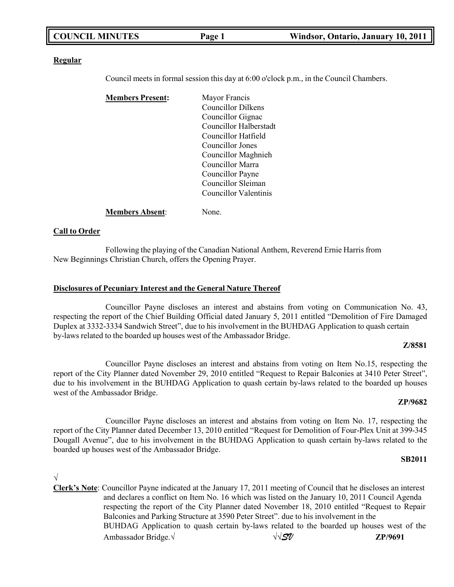| <b>COUNCIL MINUTES</b> | Page 1 | Windsor, Ontario, January 10, 2011 |
|------------------------|--------|------------------------------------|
|                        |        |                                    |

#### **Regular**

Council meets in formal session this day at 6:00 o'clock p.m., in the Council Chambers.

| <b>Members Present:</b> | Mayor Francis          |
|-------------------------|------------------------|
|                         | Councillor Dilkens     |
|                         | Councillor Gignac      |
|                         | Councillor Halberstadt |
|                         | Councillor Hatfield    |
|                         | Councillor Jones       |
|                         | Councillor Maghnieh    |
|                         | Councillor Marra       |
|                         | Councillor Payne       |
|                         | Councillor Sleiman     |
|                         | Councillor Valentinis  |
|                         |                        |

**Members Absent**: None.

#### **Call to Order**

Following the playing of the Canadian National Anthem, Reverend Ernie Harris from New Beginnings Christian Church, offers the Opening Prayer.

#### **Disclosures of Pecuniary Interest and the General Nature Thereof**

Councillor Payne discloses an interest and abstains from voting on Communication No. 43, respecting the report of the Chief Building Official dated January 5, 2011 entitled "Demolition of Fire Damaged Duplex at 3332-3334 Sandwich Street", due to his involvement in the BUHDAG Application to quash certain by-laws related to the boarded up houses west of the Ambassador Bridge.

#### **Z/8581**

Councillor Payne discloses an interest and abstains from voting on Item No.15, respecting the report of the City Planner dated November 29, 2010 entitled "Request to Repair Balconies at 3410 Peter Street", due to his involvement in the BUHDAG Application to quash certain by-laws related to the boarded up houses west of the Ambassador Bridge.

#### **ZP/9682**

Councillor Payne discloses an interest and abstains from voting on Item No. 17, respecting the report of the City Planner dated December 13, 2010 entitled "Request for Demolition of Four-Plex Unit at 399-345 Dougall Avenue", due to his involvement in the BUHDAG Application to quash certain by-laws related to the boarded up houses west of the Ambassador Bridge.

#### **SB2011**

### √

**Clerk's Note**: Councillor Payne indicated at the January 17, 2011 meeting of Council that he discloses an interest and declares a conflict on Item No. 16 which was listed on the January 10, 2011 Council Agenda respecting the report of the City Planner dated November 18, 2010 entitled "Request to Repair Balconies and Parking Structure at 3590 Peter Street". due to his involvement in the BUHDAG Application to quash certain by-laws related to the boarded up houses west of the Ambassador Bridge.√ √√*SV* **ZP/9691**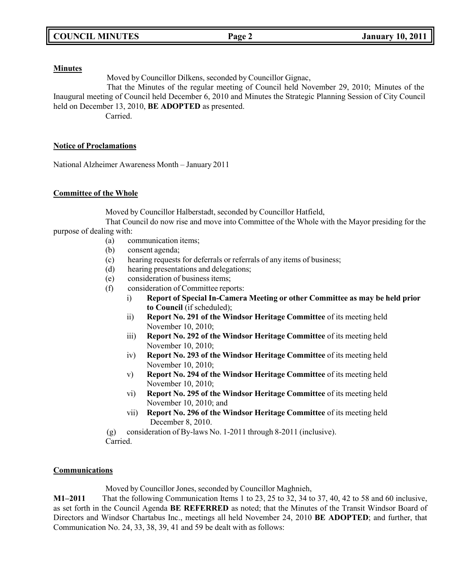#### **Minutes**

Moved by Councillor Dilkens, seconded by Councillor Gignac,

That the Minutes of the regular meeting of Council held November 29, 2010; Minutes of the Inaugural meeting of Council held December 6, 2010 and Minutes the Strategic Planning Session of City Council held on December 13, 2010, **BE ADOPTED** as presented.

Carried.

### **Notice of Proclamations**

National Alzheimer Awareness Month – January 2011

### **Committee of the Whole**

Moved by Councillor Halberstadt, seconded by Councillor Hatfield,

That Council do now rise and move into Committee of the Whole with the Mayor presiding for the purpose of dealing with:

- (a) communication items;
	- (b) consent agenda;
	- (c) hearing requests for deferrals or referrals of any items of business;
	- (d) hearing presentations and delegations;
- (e) consideration of business items;
- (f) consideration of Committee reports:
	- i) **Report of Special In-Camera Meeting or other Committee as may be held prior to Council** (if scheduled);
	- ii) **Report No. 291 of the Windsor Heritage Committee** of its meeting held November 10, 2010;
	- iii) **Report No. 292 of the Windsor Heritage Committee** of its meeting held November 10, 2010;
	- iv) **Report No. 293 of the Windsor Heritage Committee** of its meeting held November 10, 2010;
	- v) **Report No. 294 of the Windsor Heritage Committee** of its meeting held November 10, 2010;
	- vi) **Report No. 295 of the Windsor Heritage Committee** of its meeting held November 10, 2010; and
	- vii) **Report No. 296 of the Windsor Heritage Committee** of its meeting held December 8, 2010.

(g) consideration of By-laws No. 1-2011 through 8-2011 (inclusive).

Carried.

### **Communications**

Moved by Councillor Jones, seconded by Councillor Maghnieh,

**M1–2011** That the following Communication Items 1 to 23, 25 to 32, 34 to 37, 40, 42 to 58 and 60 inclusive, as set forth in the Council Agenda **BE REFERRED** as noted; that the Minutes of the Transit Windsor Board of Directors and Windsor Chartabus Inc., meetings all held November 24, 2010 **BE ADOPTED**; and further, that Communication No. 24, 33, 38, 39, 41 and 59 be dealt with as follows: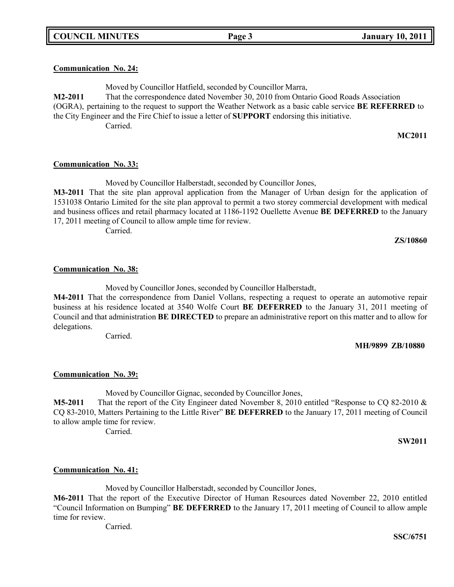### **Communication No. 24:**

Moved by Councillor Hatfield, seconded by Councillor Marra, **M2-2011** That the correspondence dated November 30, 2010 from Ontario Good Roads Association (OGRA), pertaining to the request to support the Weather Network as a basic cable service **BE REFERRED** to the City Engineer and the Fire Chief to issue a letter of **SUPPORT** endorsing this initiative. Carried.

**MC2011**

### **Communication No. 33:**

Moved by Councillor Halberstadt, seconded by Councillor Jones, **M3-2011** That the site plan approval application from the Manager of Urban design for the application of 1531038 Ontario Limited for the site plan approval to permit a two storey commercial development with medical and business offices and retail pharmacy located at 1186-1192 Ouellette Avenue **BE DEFERRED** to the January 17, 2011 meeting of Council to allow ample time for review. Carried.

**ZS/10860**

### **Communication No. 38:**

Moved by Councillor Jones, seconded by Councillor Halberstadt,

**M4-2011** That the correspondence from Daniel Vollans, respecting a request to operate an automotive repair business at his residence located at 3540 Wolfe Court **BE DEFERRED** to the January 31, 2011 meeting of Council and that administration **BE DIRECTED** to prepare an administrative report on this matter and to allow for delegations.

Carried.

**MH/9899 ZB/10880**

### **Communication No. 39:**

Moved by Councillor Gignac, seconded by Councillor Jones,

**M5-2011** That the report of the City Engineer dated November 8, 2010 entitled "Response to CQ 82-2010 & CQ 83-2010, Matters Pertaining to the Little River" **BE DEFERRED** to the January 17, 2011 meeting of Council to allow ample time for review.

Carried.

**SW2011**

### **Communication No. 41:**

Moved by Councillor Halberstadt, seconded by Councillor Jones,

**M6-2011** That the report of the Executive Director of Human Resources dated November 22, 2010 entitled "Council Information on Bumping" **BE DEFERRED** to the January 17, 2011 meeting of Council to allow ample time for review.

Carried.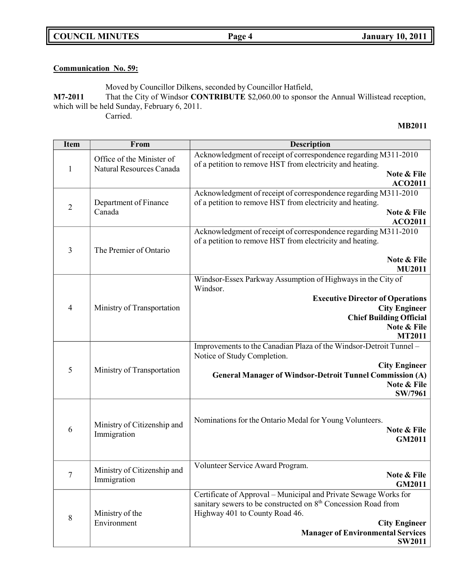**COUNCIL MINUTES Page 4 January 10, 2011**

## **Communication No. 59:**

Moved by Councillor Dilkens, seconded by Councillor Hatfield,

**M7-2011** That the City of Windsor **CONTRIBUTE** \$2,060.00 to sponsor the Annual Willistead reception, which will be held Sunday, February 6, 2011. Carried.

#### **MB2011**

| <b>Item</b>    | From                                                  | <b>Description</b>                                                                                                                                                                                                                                                   |  |
|----------------|-------------------------------------------------------|----------------------------------------------------------------------------------------------------------------------------------------------------------------------------------------------------------------------------------------------------------------------|--|
| $\mathbf{1}$   | Office of the Minister of<br>Natural Resources Canada | Acknowledgment of receipt of correspondence regarding M311-2010<br>of a petition to remove HST from electricity and heating.<br>Note & File<br><b>ACO2011</b>                                                                                                        |  |
| $\overline{2}$ | Department of Finance<br>Canada                       | Acknowledgment of receipt of correspondence regarding M311-2010<br>of a petition to remove HST from electricity and heating.<br>Note & File<br><b>ACO2011</b>                                                                                                        |  |
| 3              | The Premier of Ontario                                | Acknowledgment of receipt of correspondence regarding M311-2010<br>of a petition to remove HST from electricity and heating.<br>Note & File<br><b>MU2011</b>                                                                                                         |  |
| $\overline{4}$ | Ministry of Transportation                            | Windsor-Essex Parkway Assumption of Highways in the City of<br>Windsor.<br><b>Executive Director of Operations</b><br><b>City Engineer</b><br><b>Chief Building Official</b><br>Note & File<br><b>MT2011</b>                                                         |  |
| 5              | Ministry of Transportation                            | Improvements to the Canadian Plaza of the Windsor-Detroit Tunnel -<br>Notice of Study Completion.<br><b>City Engineer</b><br><b>General Manager of Windsor-Detroit Tunnel Commission (A)</b><br>Note & File<br><b>SW/7961</b>                                        |  |
| 6              | Ministry of Citizenship and<br>Immigration            | Nominations for the Ontario Medal for Young Volunteers.<br>Note & File<br>GM2011                                                                                                                                                                                     |  |
| 7              | Ministry of Citizenship and<br>Immigration            | Volunteer Service Award Program.<br>Note & File<br>GM2011                                                                                                                                                                                                            |  |
| 8              | Ministry of the<br>Environment                        | Certificate of Approval - Municipal and Private Sewage Works for<br>sanitary sewers to be constructed on 8 <sup>th</sup> Concession Road from<br>Highway 401 to County Road 46.<br><b>City Engineer</b><br><b>Manager of Environmental Services</b><br><b>SW2011</b> |  |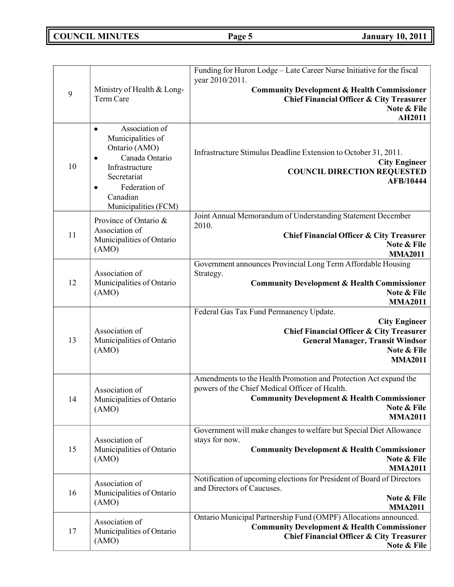# **COUNCIL MINUTES Page 5 January 10, 2011**

|    |                                                                                                                                                                                                     | Funding for Huron Lodge - Late Career Nurse Initiative for the fiscal<br>year 2010/2011.                                                                                                                      |
|----|-----------------------------------------------------------------------------------------------------------------------------------------------------------------------------------------------------|---------------------------------------------------------------------------------------------------------------------------------------------------------------------------------------------------------------|
| 9  | Ministry of Health & Long-<br>Term Care                                                                                                                                                             | <b>Community Development &amp; Health Commissioner</b><br><b>Chief Financial Officer &amp; City Treasurer</b><br>Note & File<br>AH2011                                                                        |
| 10 | Association of<br>$\bullet$<br>Municipalities of<br>Ontario (AMO)<br>Canada Ontario<br>$\bullet$<br>Infrastructure<br>Secretariat<br>Federation of<br>$\bullet$<br>Canadian<br>Municipalities (FCM) | Infrastructure Stimulus Deadline Extension to October 31, 2011.<br><b>City Engineer</b><br><b>COUNCIL DIRECTION REQUESTED</b><br><b>AFB/10444</b>                                                             |
| 11 | Province of Ontario &<br>Association of<br>Municipalities of Ontario<br>(AMO)                                                                                                                       | Joint Annual Memorandum of Understanding Statement December<br>2010.<br><b>Chief Financial Officer &amp; City Treasurer</b><br>Note & File<br><b>MMA2011</b>                                                  |
| 12 | Association of<br>Municipalities of Ontario<br>(AMO)                                                                                                                                                | Government announces Provincial Long Term Affordable Housing<br>Strategy.<br><b>Community Development &amp; Health Commissioner</b><br>Note & File<br><b>MMA2011</b>                                          |
| 13 | Association of<br>Municipalities of Ontario<br>(AMO)                                                                                                                                                | Federal Gas Tax Fund Permanency Update.<br><b>City Engineer</b><br><b>Chief Financial Officer &amp; City Treasurer</b><br><b>General Manager, Transit Windsor</b><br>Note & File<br><b>MMA2011</b>            |
| 14 | Association of<br>Municipalities of Ontario<br>(AMO)                                                                                                                                                | Amendments to the Health Promotion and Protection Act expand the<br>powers of the Chief Medical Officer of Health.<br><b>Community Development &amp; Health Commissioner</b><br>Note & File<br><b>MMA2011</b> |
| 15 | Association of<br>Municipalities of Ontario<br>(AMO)                                                                                                                                                | Government will make changes to welfare but Special Diet Allowance<br>stays for now.<br><b>Community Development &amp; Health Commissioner</b><br>Note & File<br><b>MMA2011</b>                               |
| 16 | Association of<br>Municipalities of Ontario<br>(AMO)                                                                                                                                                | Notification of upcoming elections for President of Board of Directors<br>and Directors of Caucuses.<br>Note & File<br><b>MMA2011</b>                                                                         |
| 17 | Association of<br>Municipalities of Ontario<br>(AMO)                                                                                                                                                | Ontario Municipal Partnership Fund (OMPF) Allocations announced.<br><b>Community Development &amp; Health Commissioner</b><br><b>Chief Financial Officer &amp; City Treasurer</b><br>Note & File              |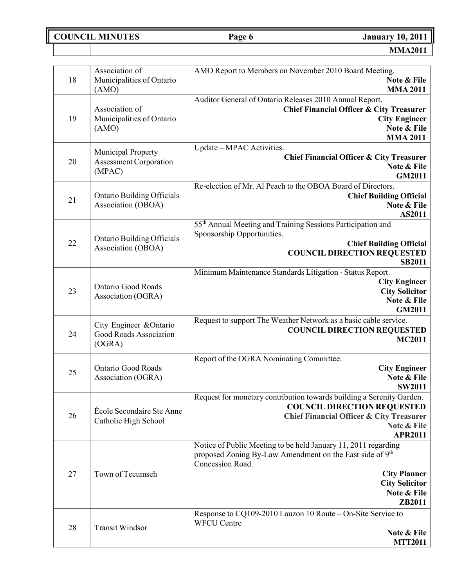**COUNCIL MINUTES Page 6 January 10, 2011**

|    | Association of                                          | AMO Report to Members on November 2010 Board Meeting.                            |
|----|---------------------------------------------------------|----------------------------------------------------------------------------------|
| 18 | Municipalities of Ontario                               | Note & File                                                                      |
|    | (AMO)                                                   | <b>MMA 2011</b>                                                                  |
|    |                                                         | Auditor General of Ontario Releases 2010 Annual Report.                          |
|    | Association of                                          | <b>Chief Financial Officer &amp; City Treasurer</b>                              |
| 19 | Municipalities of Ontario                               | <b>City Engineer</b><br>Note & File                                              |
|    | (AMO)                                                   | <b>MMA 2011</b>                                                                  |
|    |                                                         | Update - MPAC Activities.                                                        |
|    | Municipal Property                                      | <b>Chief Financial Officer &amp; City Treasurer</b>                              |
| 20 | <b>Assessment Corporation</b><br>(MPAC)                 | Note & File                                                                      |
|    |                                                         | <b>GM2011</b>                                                                    |
|    |                                                         | Re-election of Mr. Al Peach to the OBOA Board of Directors.                      |
| 21 | <b>Ontario Building Officials</b>                       | <b>Chief Building Official</b>                                                   |
|    | Association (OBOA)                                      | Note & File<br>AS2011                                                            |
|    |                                                         | 55th Annual Meeting and Training Sessions Participation and                      |
|    |                                                         | Sponsorship Opportunities.                                                       |
| 22 | <b>Ontario Building Officials</b><br>Association (OBOA) | <b>Chief Building Official</b>                                                   |
|    |                                                         | <b>COUNCIL DIRECTION REQUESTED</b>                                               |
|    |                                                         | <b>SB2011</b>                                                                    |
|    |                                                         | Minimum Maintenance Standards Litigation - Status Report.                        |
| 23 | <b>Ontario Good Roads</b>                               | <b>City Engineer</b><br><b>City Solicitor</b>                                    |
|    | Association (OGRA)                                      | Note & File                                                                      |
|    |                                                         | <b>GM2011</b>                                                                    |
|    |                                                         | Request to support The Weather Network as a basic cable service.                 |
| 24 | City Engineer & Ontario<br>Good Roads Association       | <b>COUNCIL DIRECTION REQUESTED</b>                                               |
|    | (OGRA)                                                  | <b>MC2011</b>                                                                    |
|    |                                                         |                                                                                  |
|    | <b>Ontario Good Roads</b>                               | Report of the OGRA Nominating Committee.<br><b>City Engineer</b>                 |
| 25 | Association (OGRA)                                      | Note & File                                                                      |
|    |                                                         | <b>SW2011</b>                                                                    |
|    |                                                         | Request for monetary contribution towards building a Serenity Garden.            |
|    | École Secondaire Ste Anne                               | <b>COUNCIL DIRECTION REQUESTED</b>                                               |
| 26 | Catholic High School                                    | <b>Chief Financial Officer &amp; City Treasurer</b>                              |
|    |                                                         | Note & File                                                                      |
|    |                                                         | <b>APR2011</b><br>Notice of Public Meeting to be held January 11, 2011 regarding |
|    |                                                         | proposed Zoning By-Law Amendment on the East side of 9th                         |
|    |                                                         | Concession Road.                                                                 |
| 27 | Town of Tecumseh                                        | <b>City Planner</b>                                                              |
|    |                                                         | <b>City Solicitor</b>                                                            |
|    |                                                         | Note & File                                                                      |
|    |                                                         | ZB2011                                                                           |
|    |                                                         | Response to CQ109-2010 Lauzon 10 Route – On-Site Service to                      |
| 28 | <b>Transit Windsor</b>                                  | <b>WFCU Centre</b>                                                               |
|    |                                                         | Note & File<br><b>MTT2011</b>                                                    |
|    |                                                         |                                                                                  |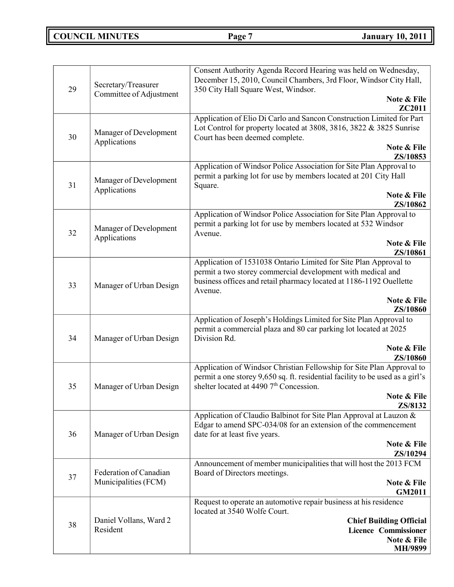# **COUNCIL MINUTES Page 7 January 10, 2011**

| 29                                           | Secretary/Treasurer<br>Committee of Adjustment | Consent Authority Agenda Record Hearing was held on Wednesday,<br>December 15, 2010, Council Chambers, 3rd Floor, Windsor City Hall,<br>350 City Hall Square West, Windsor.<br>Note & File                        |
|----------------------------------------------|------------------------------------------------|-------------------------------------------------------------------------------------------------------------------------------------------------------------------------------------------------------------------|
| 30                                           | Manager of Development<br>Applications         | ZC2011<br>Application of Elio Di Carlo and Sancon Construction Limited for Part<br>Lot Control for property located at 3808, 3816, 3822 & 3825 Sunrise<br>Court has been deemed complete.<br>Note & File          |
|                                              |                                                | ZS/10853<br>Application of Windsor Police Association for Site Plan Approval to                                                                                                                                   |
| 31                                           | Manager of Development<br>Applications         | permit a parking lot for use by members located at 201 City Hall<br>Square.<br>Note & File                                                                                                                        |
|                                              |                                                | ZS/10862                                                                                                                                                                                                          |
| Manager of Development<br>32<br>Applications |                                                | Application of Windsor Police Association for Site Plan Approval to<br>permit a parking lot for use by members located at 532 Windsor<br>Avenue.                                                                  |
|                                              |                                                | Note & File<br>ZS/10861                                                                                                                                                                                           |
| 33                                           | Manager of Urban Design                        | Application of 1531038 Ontario Limited for Site Plan Approval to<br>permit a two storey commercial development with medical and<br>business offices and retail pharmacy located at 1186-1192 Ouellette<br>Avenue. |
|                                              |                                                | Note & File<br>ZS/10860                                                                                                                                                                                           |
| 34                                           | Manager of Urban Design                        | Application of Joseph's Holdings Limited for Site Plan Approval to<br>permit a commercial plaza and 80 car parking lot located at 2025<br>Division Rd.                                                            |
|                                              |                                                | Note & File<br>ZS/10860                                                                                                                                                                                           |
| 35                                           | Manager of Urban Design                        | Application of Windsor Christian Fellowship for Site Plan Approval to<br>permit a one storey 9,650 sq. ft. residential facility to be used as a girl's<br>shelter located at 4490 7 <sup>th</sup> Concession.     |
|                                              |                                                | Note & File<br>ZS/8132                                                                                                                                                                                            |
| 36                                           | Manager of Urban Design                        | Application of Claudio Balbinot for Site Plan Approval at Lauzon &<br>Edgar to amend SPC-034/08 for an extension of the commencement<br>date for at least five years.                                             |
|                                              |                                                | Note & File<br>ZS/10294                                                                                                                                                                                           |
| 37                                           | Federation of Canadian<br>Municipalities (FCM) | Announcement of member municipalities that will host the 2013 FCM<br>Board of Directors meetings.<br>Note & File                                                                                                  |
|                                              |                                                | <b>GM2011</b><br>Request to operate an automotive repair business at his residence                                                                                                                                |
|                                              |                                                | located at 3540 Wolfe Court.                                                                                                                                                                                      |
| 38                                           | Daniel Vollans, Ward 2<br>Resident             | <b>Chief Building Official</b><br><b>Licence Commissioner</b><br>Note & File<br>MH/9899                                                                                                                           |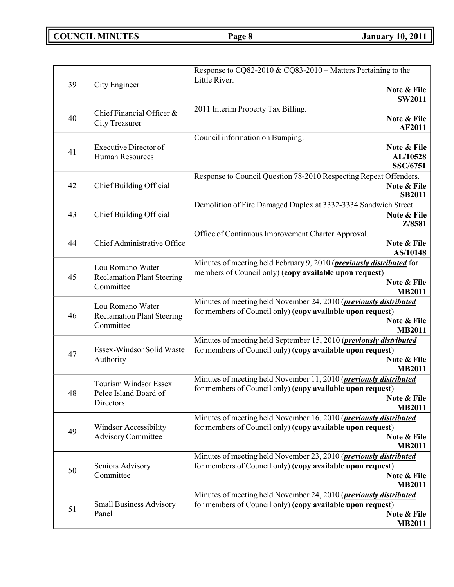# **COUNCIL MINUTES Page 8 January 10, 2011**

| 39<br>City Engineer<br>Note & File<br><b>SW2011</b><br>2011 Interim Property Tax Billing.<br>Chief Financial Officer &<br>40<br>Note & File<br><b>City Treasurer</b><br>AF2011<br>Council information on Bumping.<br><b>Executive Director of</b><br>Note & File<br>41<br>AL/10528<br><b>Human Resources</b><br>SSC/6751<br>Response to Council Question 78-2010 Respecting Repeat Offenders.<br>42<br>Chief Building Official<br>Note & File<br><b>SB2011</b><br>Demolition of Fire Damaged Duplex at 3332-3334 Sandwich Street.<br>43<br>Chief Building Official<br>Note & File<br>Z/8581<br>Office of Continuous Improvement Charter Approval.<br>44<br>Chief Administrative Office<br>Note & File<br>AS/10148<br>Minutes of meeting held February 9, 2010 ( <i>previously distributed</i> for<br>Lou Romano Water<br>members of Council only) (copy available upon request)<br>45<br><b>Reclamation Plant Steering</b><br>Note & File<br>Committee<br><b>MB2011</b><br>Minutes of meeting held November 24, 2010 ( <i>previously distributed</i><br>Lou Romano Water<br>for members of Council only) (copy available upon request)<br>46<br><b>Reclamation Plant Steering</b><br>Note & File<br>Committee<br><b>MB2011</b><br>Minutes of meeting held September 15, 2010 ( <i>previously distributed</i><br>Essex-Windsor Solid Waste<br>for members of Council only) (copy available upon request)<br>47<br>Note & File<br>Authority<br><b>MB2011</b><br>Minutes of meeting held November 11, 2010 (previously distributed<br>Tourism Windsor Essex<br>for members of Council only) (copy available upon request)<br>48<br>Pelee Island Board of<br>Note & File<br>Directors<br><b>MB2011</b><br>Minutes of meeting held November 16, 2010 ( <i>previously distributed</i><br>for members of Council only) (copy available upon request)<br>Windsor Accessibility<br>49<br>Note & File<br><b>Advisory Committee</b><br><b>MB2011</b><br>Minutes of meeting held November 23, 2010 (previously distributed<br>for members of Council only) (copy available upon request)<br>Seniors Advisory<br>50<br>Committee<br>Note & File<br><b>MB2011</b><br>Minutes of meeting held November 24, 2010 ( <i>previously distributed</i><br>for members of Council only) (copy available upon request)<br><b>Small Business Advisory</b><br>51<br>Note & File<br>Panel |  | Response to CQ82-2010 & CQ83-2010 - Matters Pertaining to the |
|----------------------------------------------------------------------------------------------------------------------------------------------------------------------------------------------------------------------------------------------------------------------------------------------------------------------------------------------------------------------------------------------------------------------------------------------------------------------------------------------------------------------------------------------------------------------------------------------------------------------------------------------------------------------------------------------------------------------------------------------------------------------------------------------------------------------------------------------------------------------------------------------------------------------------------------------------------------------------------------------------------------------------------------------------------------------------------------------------------------------------------------------------------------------------------------------------------------------------------------------------------------------------------------------------------------------------------------------------------------------------------------------------------------------------------------------------------------------------------------------------------------------------------------------------------------------------------------------------------------------------------------------------------------------------------------------------------------------------------------------------------------------------------------------------------------------------------------------------------------------------------------------------------------------------------------------------------------------------------------------------------------------------------------------------------------------------------------------------------------------------------------------------------------------------------------------------------------------------------------------------------------------------------------------------------------------------------------------------------------|--|---------------------------------------------------------------|
|                                                                                                                                                                                                                                                                                                                                                                                                                                                                                                                                                                                                                                                                                                                                                                                                                                                                                                                                                                                                                                                                                                                                                                                                                                                                                                                                                                                                                                                                                                                                                                                                                                                                                                                                                                                                                                                                                                                                                                                                                                                                                                                                                                                                                                                                                                                                                                |  | Little River.                                                 |
|                                                                                                                                                                                                                                                                                                                                                                                                                                                                                                                                                                                                                                                                                                                                                                                                                                                                                                                                                                                                                                                                                                                                                                                                                                                                                                                                                                                                                                                                                                                                                                                                                                                                                                                                                                                                                                                                                                                                                                                                                                                                                                                                                                                                                                                                                                                                                                |  |                                                               |
|                                                                                                                                                                                                                                                                                                                                                                                                                                                                                                                                                                                                                                                                                                                                                                                                                                                                                                                                                                                                                                                                                                                                                                                                                                                                                                                                                                                                                                                                                                                                                                                                                                                                                                                                                                                                                                                                                                                                                                                                                                                                                                                                                                                                                                                                                                                                                                |  |                                                               |
|                                                                                                                                                                                                                                                                                                                                                                                                                                                                                                                                                                                                                                                                                                                                                                                                                                                                                                                                                                                                                                                                                                                                                                                                                                                                                                                                                                                                                                                                                                                                                                                                                                                                                                                                                                                                                                                                                                                                                                                                                                                                                                                                                                                                                                                                                                                                                                |  |                                                               |
|                                                                                                                                                                                                                                                                                                                                                                                                                                                                                                                                                                                                                                                                                                                                                                                                                                                                                                                                                                                                                                                                                                                                                                                                                                                                                                                                                                                                                                                                                                                                                                                                                                                                                                                                                                                                                                                                                                                                                                                                                                                                                                                                                                                                                                                                                                                                                                |  |                                                               |
|                                                                                                                                                                                                                                                                                                                                                                                                                                                                                                                                                                                                                                                                                                                                                                                                                                                                                                                                                                                                                                                                                                                                                                                                                                                                                                                                                                                                                                                                                                                                                                                                                                                                                                                                                                                                                                                                                                                                                                                                                                                                                                                                                                                                                                                                                                                                                                |  |                                                               |
|                                                                                                                                                                                                                                                                                                                                                                                                                                                                                                                                                                                                                                                                                                                                                                                                                                                                                                                                                                                                                                                                                                                                                                                                                                                                                                                                                                                                                                                                                                                                                                                                                                                                                                                                                                                                                                                                                                                                                                                                                                                                                                                                                                                                                                                                                                                                                                |  |                                                               |
|                                                                                                                                                                                                                                                                                                                                                                                                                                                                                                                                                                                                                                                                                                                                                                                                                                                                                                                                                                                                                                                                                                                                                                                                                                                                                                                                                                                                                                                                                                                                                                                                                                                                                                                                                                                                                                                                                                                                                                                                                                                                                                                                                                                                                                                                                                                                                                |  |                                                               |
|                                                                                                                                                                                                                                                                                                                                                                                                                                                                                                                                                                                                                                                                                                                                                                                                                                                                                                                                                                                                                                                                                                                                                                                                                                                                                                                                                                                                                                                                                                                                                                                                                                                                                                                                                                                                                                                                                                                                                                                                                                                                                                                                                                                                                                                                                                                                                                |  |                                                               |
|                                                                                                                                                                                                                                                                                                                                                                                                                                                                                                                                                                                                                                                                                                                                                                                                                                                                                                                                                                                                                                                                                                                                                                                                                                                                                                                                                                                                                                                                                                                                                                                                                                                                                                                                                                                                                                                                                                                                                                                                                                                                                                                                                                                                                                                                                                                                                                |  |                                                               |
|                                                                                                                                                                                                                                                                                                                                                                                                                                                                                                                                                                                                                                                                                                                                                                                                                                                                                                                                                                                                                                                                                                                                                                                                                                                                                                                                                                                                                                                                                                                                                                                                                                                                                                                                                                                                                                                                                                                                                                                                                                                                                                                                                                                                                                                                                                                                                                |  |                                                               |
|                                                                                                                                                                                                                                                                                                                                                                                                                                                                                                                                                                                                                                                                                                                                                                                                                                                                                                                                                                                                                                                                                                                                                                                                                                                                                                                                                                                                                                                                                                                                                                                                                                                                                                                                                                                                                                                                                                                                                                                                                                                                                                                                                                                                                                                                                                                                                                |  |                                                               |
|                                                                                                                                                                                                                                                                                                                                                                                                                                                                                                                                                                                                                                                                                                                                                                                                                                                                                                                                                                                                                                                                                                                                                                                                                                                                                                                                                                                                                                                                                                                                                                                                                                                                                                                                                                                                                                                                                                                                                                                                                                                                                                                                                                                                                                                                                                                                                                |  |                                                               |
|                                                                                                                                                                                                                                                                                                                                                                                                                                                                                                                                                                                                                                                                                                                                                                                                                                                                                                                                                                                                                                                                                                                                                                                                                                                                                                                                                                                                                                                                                                                                                                                                                                                                                                                                                                                                                                                                                                                                                                                                                                                                                                                                                                                                                                                                                                                                                                |  |                                                               |
|                                                                                                                                                                                                                                                                                                                                                                                                                                                                                                                                                                                                                                                                                                                                                                                                                                                                                                                                                                                                                                                                                                                                                                                                                                                                                                                                                                                                                                                                                                                                                                                                                                                                                                                                                                                                                                                                                                                                                                                                                                                                                                                                                                                                                                                                                                                                                                |  |                                                               |
|                                                                                                                                                                                                                                                                                                                                                                                                                                                                                                                                                                                                                                                                                                                                                                                                                                                                                                                                                                                                                                                                                                                                                                                                                                                                                                                                                                                                                                                                                                                                                                                                                                                                                                                                                                                                                                                                                                                                                                                                                                                                                                                                                                                                                                                                                                                                                                |  |                                                               |
|                                                                                                                                                                                                                                                                                                                                                                                                                                                                                                                                                                                                                                                                                                                                                                                                                                                                                                                                                                                                                                                                                                                                                                                                                                                                                                                                                                                                                                                                                                                                                                                                                                                                                                                                                                                                                                                                                                                                                                                                                                                                                                                                                                                                                                                                                                                                                                |  |                                                               |
|                                                                                                                                                                                                                                                                                                                                                                                                                                                                                                                                                                                                                                                                                                                                                                                                                                                                                                                                                                                                                                                                                                                                                                                                                                                                                                                                                                                                                                                                                                                                                                                                                                                                                                                                                                                                                                                                                                                                                                                                                                                                                                                                                                                                                                                                                                                                                                |  |                                                               |
|                                                                                                                                                                                                                                                                                                                                                                                                                                                                                                                                                                                                                                                                                                                                                                                                                                                                                                                                                                                                                                                                                                                                                                                                                                                                                                                                                                                                                                                                                                                                                                                                                                                                                                                                                                                                                                                                                                                                                                                                                                                                                                                                                                                                                                                                                                                                                                |  |                                                               |
|                                                                                                                                                                                                                                                                                                                                                                                                                                                                                                                                                                                                                                                                                                                                                                                                                                                                                                                                                                                                                                                                                                                                                                                                                                                                                                                                                                                                                                                                                                                                                                                                                                                                                                                                                                                                                                                                                                                                                                                                                                                                                                                                                                                                                                                                                                                                                                |  |                                                               |
|                                                                                                                                                                                                                                                                                                                                                                                                                                                                                                                                                                                                                                                                                                                                                                                                                                                                                                                                                                                                                                                                                                                                                                                                                                                                                                                                                                                                                                                                                                                                                                                                                                                                                                                                                                                                                                                                                                                                                                                                                                                                                                                                                                                                                                                                                                                                                                |  |                                                               |
|                                                                                                                                                                                                                                                                                                                                                                                                                                                                                                                                                                                                                                                                                                                                                                                                                                                                                                                                                                                                                                                                                                                                                                                                                                                                                                                                                                                                                                                                                                                                                                                                                                                                                                                                                                                                                                                                                                                                                                                                                                                                                                                                                                                                                                                                                                                                                                |  |                                                               |
|                                                                                                                                                                                                                                                                                                                                                                                                                                                                                                                                                                                                                                                                                                                                                                                                                                                                                                                                                                                                                                                                                                                                                                                                                                                                                                                                                                                                                                                                                                                                                                                                                                                                                                                                                                                                                                                                                                                                                                                                                                                                                                                                                                                                                                                                                                                                                                |  |                                                               |
|                                                                                                                                                                                                                                                                                                                                                                                                                                                                                                                                                                                                                                                                                                                                                                                                                                                                                                                                                                                                                                                                                                                                                                                                                                                                                                                                                                                                                                                                                                                                                                                                                                                                                                                                                                                                                                                                                                                                                                                                                                                                                                                                                                                                                                                                                                                                                                |  |                                                               |
|                                                                                                                                                                                                                                                                                                                                                                                                                                                                                                                                                                                                                                                                                                                                                                                                                                                                                                                                                                                                                                                                                                                                                                                                                                                                                                                                                                                                                                                                                                                                                                                                                                                                                                                                                                                                                                                                                                                                                                                                                                                                                                                                                                                                                                                                                                                                                                |  |                                                               |
|                                                                                                                                                                                                                                                                                                                                                                                                                                                                                                                                                                                                                                                                                                                                                                                                                                                                                                                                                                                                                                                                                                                                                                                                                                                                                                                                                                                                                                                                                                                                                                                                                                                                                                                                                                                                                                                                                                                                                                                                                                                                                                                                                                                                                                                                                                                                                                |  |                                                               |
|                                                                                                                                                                                                                                                                                                                                                                                                                                                                                                                                                                                                                                                                                                                                                                                                                                                                                                                                                                                                                                                                                                                                                                                                                                                                                                                                                                                                                                                                                                                                                                                                                                                                                                                                                                                                                                                                                                                                                                                                                                                                                                                                                                                                                                                                                                                                                                |  |                                                               |
|                                                                                                                                                                                                                                                                                                                                                                                                                                                                                                                                                                                                                                                                                                                                                                                                                                                                                                                                                                                                                                                                                                                                                                                                                                                                                                                                                                                                                                                                                                                                                                                                                                                                                                                                                                                                                                                                                                                                                                                                                                                                                                                                                                                                                                                                                                                                                                |  |                                                               |
|                                                                                                                                                                                                                                                                                                                                                                                                                                                                                                                                                                                                                                                                                                                                                                                                                                                                                                                                                                                                                                                                                                                                                                                                                                                                                                                                                                                                                                                                                                                                                                                                                                                                                                                                                                                                                                                                                                                                                                                                                                                                                                                                                                                                                                                                                                                                                                |  |                                                               |
|                                                                                                                                                                                                                                                                                                                                                                                                                                                                                                                                                                                                                                                                                                                                                                                                                                                                                                                                                                                                                                                                                                                                                                                                                                                                                                                                                                                                                                                                                                                                                                                                                                                                                                                                                                                                                                                                                                                                                                                                                                                                                                                                                                                                                                                                                                                                                                |  |                                                               |
|                                                                                                                                                                                                                                                                                                                                                                                                                                                                                                                                                                                                                                                                                                                                                                                                                                                                                                                                                                                                                                                                                                                                                                                                                                                                                                                                                                                                                                                                                                                                                                                                                                                                                                                                                                                                                                                                                                                                                                                                                                                                                                                                                                                                                                                                                                                                                                |  |                                                               |
|                                                                                                                                                                                                                                                                                                                                                                                                                                                                                                                                                                                                                                                                                                                                                                                                                                                                                                                                                                                                                                                                                                                                                                                                                                                                                                                                                                                                                                                                                                                                                                                                                                                                                                                                                                                                                                                                                                                                                                                                                                                                                                                                                                                                                                                                                                                                                                |  |                                                               |
|                                                                                                                                                                                                                                                                                                                                                                                                                                                                                                                                                                                                                                                                                                                                                                                                                                                                                                                                                                                                                                                                                                                                                                                                                                                                                                                                                                                                                                                                                                                                                                                                                                                                                                                                                                                                                                                                                                                                                                                                                                                                                                                                                                                                                                                                                                                                                                |  |                                                               |
|                                                                                                                                                                                                                                                                                                                                                                                                                                                                                                                                                                                                                                                                                                                                                                                                                                                                                                                                                                                                                                                                                                                                                                                                                                                                                                                                                                                                                                                                                                                                                                                                                                                                                                                                                                                                                                                                                                                                                                                                                                                                                                                                                                                                                                                                                                                                                                |  |                                                               |
|                                                                                                                                                                                                                                                                                                                                                                                                                                                                                                                                                                                                                                                                                                                                                                                                                                                                                                                                                                                                                                                                                                                                                                                                                                                                                                                                                                                                                                                                                                                                                                                                                                                                                                                                                                                                                                                                                                                                                                                                                                                                                                                                                                                                                                                                                                                                                                |  |                                                               |
|                                                                                                                                                                                                                                                                                                                                                                                                                                                                                                                                                                                                                                                                                                                                                                                                                                                                                                                                                                                                                                                                                                                                                                                                                                                                                                                                                                                                                                                                                                                                                                                                                                                                                                                                                                                                                                                                                                                                                                                                                                                                                                                                                                                                                                                                                                                                                                |  |                                                               |
|                                                                                                                                                                                                                                                                                                                                                                                                                                                                                                                                                                                                                                                                                                                                                                                                                                                                                                                                                                                                                                                                                                                                                                                                                                                                                                                                                                                                                                                                                                                                                                                                                                                                                                                                                                                                                                                                                                                                                                                                                                                                                                                                                                                                                                                                                                                                                                |  |                                                               |
|                                                                                                                                                                                                                                                                                                                                                                                                                                                                                                                                                                                                                                                                                                                                                                                                                                                                                                                                                                                                                                                                                                                                                                                                                                                                                                                                                                                                                                                                                                                                                                                                                                                                                                                                                                                                                                                                                                                                                                                                                                                                                                                                                                                                                                                                                                                                                                |  |                                                               |
|                                                                                                                                                                                                                                                                                                                                                                                                                                                                                                                                                                                                                                                                                                                                                                                                                                                                                                                                                                                                                                                                                                                                                                                                                                                                                                                                                                                                                                                                                                                                                                                                                                                                                                                                                                                                                                                                                                                                                                                                                                                                                                                                                                                                                                                                                                                                                                |  |                                                               |
|                                                                                                                                                                                                                                                                                                                                                                                                                                                                                                                                                                                                                                                                                                                                                                                                                                                                                                                                                                                                                                                                                                                                                                                                                                                                                                                                                                                                                                                                                                                                                                                                                                                                                                                                                                                                                                                                                                                                                                                                                                                                                                                                                                                                                                                                                                                                                                |  |                                                               |
|                                                                                                                                                                                                                                                                                                                                                                                                                                                                                                                                                                                                                                                                                                                                                                                                                                                                                                                                                                                                                                                                                                                                                                                                                                                                                                                                                                                                                                                                                                                                                                                                                                                                                                                                                                                                                                                                                                                                                                                                                                                                                                                                                                                                                                                                                                                                                                |  |                                                               |
|                                                                                                                                                                                                                                                                                                                                                                                                                                                                                                                                                                                                                                                                                                                                                                                                                                                                                                                                                                                                                                                                                                                                                                                                                                                                                                                                                                                                                                                                                                                                                                                                                                                                                                                                                                                                                                                                                                                                                                                                                                                                                                                                                                                                                                                                                                                                                                |  |                                                               |
|                                                                                                                                                                                                                                                                                                                                                                                                                                                                                                                                                                                                                                                                                                                                                                                                                                                                                                                                                                                                                                                                                                                                                                                                                                                                                                                                                                                                                                                                                                                                                                                                                                                                                                                                                                                                                                                                                                                                                                                                                                                                                                                                                                                                                                                                                                                                                                |  |                                                               |
| <b>MB2011</b>                                                                                                                                                                                                                                                                                                                                                                                                                                                                                                                                                                                                                                                                                                                                                                                                                                                                                                                                                                                                                                                                                                                                                                                                                                                                                                                                                                                                                                                                                                                                                                                                                                                                                                                                                                                                                                                                                                                                                                                                                                                                                                                                                                                                                                                                                                                                                  |  |                                                               |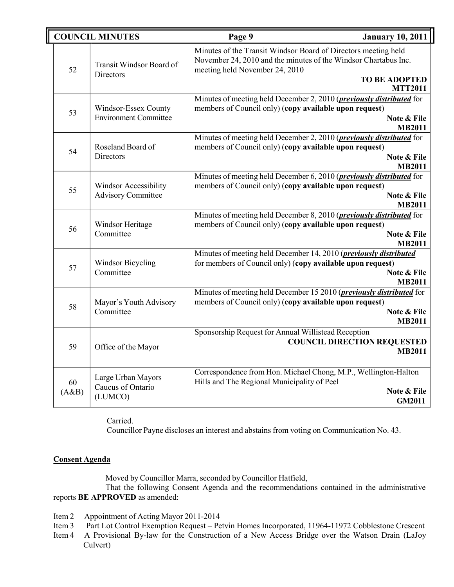|             | <b>COUNCIL MINUTES</b>                             | Page 9                                                                                                                                                              | <b>January 10, 2011</b>                             |
|-------------|----------------------------------------------------|---------------------------------------------------------------------------------------------------------------------------------------------------------------------|-----------------------------------------------------|
| 52          | Transit Windsor Board of<br><b>Directors</b>       | Minutes of the Transit Windsor Board of Directors meeting held<br>November 24, 2010 and the minutes of the Windsor Chartabus Inc.<br>meeting held November 24, 2010 | <b>TO BE ADOPTED</b><br><b>MTT2011</b>              |
| 53          | Windsor-Essex County                               | Minutes of meeting held December 2, 2010 (previously distributed for                                                                                                | Note & File                                         |
|             | <b>Environment Committee</b>                       | members of Council only) (copy available upon request)                                                                                                              | <b>MB2011</b>                                       |
| 54          | Roseland Board of                                  | Minutes of meeting held December 2, 2010 ( <i>previously distributed</i> for                                                                                        | Note & File                                         |
|             | Directors                                          | members of Council only) (copy available upon request)                                                                                                              | <b>MB2011</b>                                       |
| 55          | Windsor Accessibility                              | Minutes of meeting held December 6, 2010 ( <i>previously distributed</i> for                                                                                        | Note & File                                         |
|             | <b>Advisory Committee</b>                          | members of Council only) (copy available upon request)                                                                                                              | <b>MB2011</b>                                       |
| 56          | Windsor Heritage                                   | Minutes of meeting held December 8, 2010 ( <i>previously distributed</i> for                                                                                        | Note & File                                         |
|             | Committee                                          | members of Council only) (copy available upon request)                                                                                                              | <b>MB2011</b>                                       |
| 57          | <b>Windsor Bicycling</b>                           | Minutes of meeting held December 14, 2010 (previously distributed                                                                                                   | Note & File                                         |
|             | Committee                                          | for members of Council only) (copy available upon request)                                                                                                          | <b>MB2011</b>                                       |
| 58          | Mayor's Youth Advisory                             | Minutes of meeting held December 15 2010 ( <i>previously distributed</i> for                                                                                        | Note & File                                         |
|             | Committee                                          | members of Council only) (copy available upon request)                                                                                                              | <b>MB2011</b>                                       |
| 59          | Office of the Mayor                                | Sponsorship Request for Annual Willistead Reception                                                                                                                 | <b>COUNCIL DIRECTION REQUESTED</b><br><b>MB2011</b> |
| 60<br>(A&B) | Large Urban Mayors<br>Caucus of Ontario<br>(LUMCO) | Correspondence from Hon. Michael Chong, M.P., Wellington-Halton<br>Hills and The Regional Municipality of Peel                                                      | Note & File<br><b>GM2011</b>                        |

Carried.

Councillor Payne discloses an interest and abstains from voting on Communication No. 43.

## **Consent Agenda**

Moved by Councillor Marra, seconded by Councillor Hatfield,

That the following Consent Agenda and the recommendations contained in the administrative reports **BE APPROVED** as amended:

- Item 2 Appointment of Acting Mayor 2011-2014<br>Item 3 Part Lot Control Exemption Request Pe
- Part Lot Control Exemption Request Petvin Homes Incorporated, 11964-11972 Cobblestone Crescent
- Item 4 A Provisional By-law for the Construction of a New Access Bridge over the Watson Drain (LaJoy Culvert)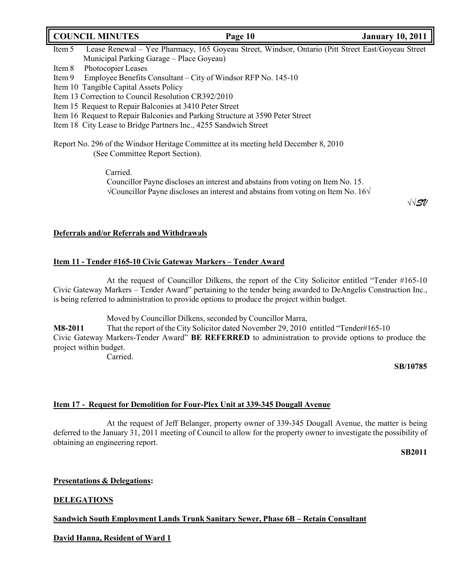# **COUNCIL MINUTES Page 10 January 10, 2011**

- Item 5 Lease Renewal Yee Pharmacy, 165 Goyeau Street, Windsor, Ontario (Pitt Street East/Goyeau Street Municipal Parking Garage – Place Goyeau)
- Item 8 Photocopier Leases

Item 9 Employee Benefits Consultant – City of Windsor RFP No. 145-10

- Item 10 Tangible Capital Assets Policy
- Item 13 Correction to Council Resolution CR392/2010
- Item 15 Request to Repair Balconies at 3410 Peter Street
- Item 16 Request to Repair Balconies and Parking Structure at 3590 Peter Street
- Item 18 City Lease to Bridge Partners Inc., 4255 Sandwich Street

Report No. 296 of the Windsor Heritage Committee at its meeting held December 8, 2010 (See Committee Report Section).

Carried.

Councillor Payne discloses an interest and abstains from voting on Item No. 15. √Councillor Payne discloses an interest and abstains from voting on Item No. 16√

√√*SV*

## **Deferrals and/or Referrals and Withdrawals**

## **Item 11 - Tender #165-10 Civic Gateway Markers – Tender Award**

At the request of Councillor Dilkens, the report of the City Solicitor entitled "Tender #165-10 Civic Gateway Markers – Tender Award" pertaining to the tender being awarded to DeAngelis Construction Inc., is being referred to administration to provide options to produce the project within budget.

Moved by Councillor Dilkens, seconded by Councillor Marra,

**M8-2011** That the report of the City Solicitor dated November 29, 2010 entitled "Tender#165-10 Civic Gateway Markers-Tender Award" **BE REFERRED** to administration to provide options to produce the project within budget.

Carried.

**SB/10785**

### **Item 17 - Request for Demolition for Four-Plex Unit at 339-345 Dougall Avenue**

At the request of Jeff Belanger, property owner of 339-345 Dougall Avenue, the matter is being deferred to the January 31, 2011 meeting of Council to allow for the property owner to investigate the possibility of obtaining an engineering report.

**SB2011**

## **Presentations & Delegations:**

## **DELEGATIONS**

### **Sandwich South Employment Lands Trunk Sanitary Sewer, Phase 6B – Retain Consultant**

## **David Hanna, Resident of Ward 1**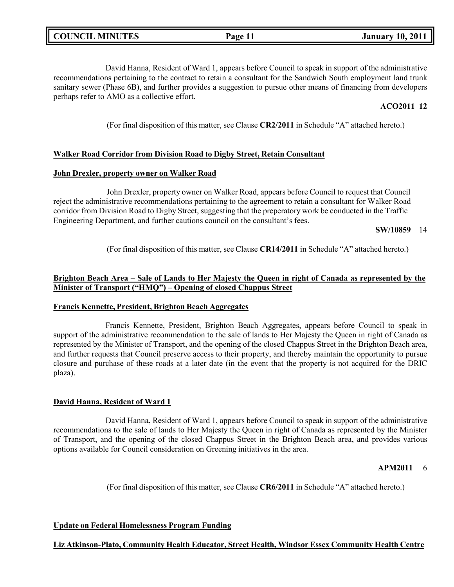David Hanna, Resident of Ward 1, appears before Council to speak in support of the administrative recommendations pertaining to the contract to retain a consultant for the Sandwich South employment land trunk sanitary sewer (Phase 6B), and further provides a suggestion to pursue other means of financing from developers perhaps refer to AMO as a collective effort.

### **ACO2011 12**

(For final disposition of this matter, see Clause **CR2/2011** in Schedule "A" attached hereto.)

#### **Walker Road Corridor from Division Road to Digby Street, Retain Consultant**

#### **John Drexler, property owner on Walker Road**

John Drexler, property owner on Walker Road, appears before Council to request that Council reject the administrative recommendations pertaining to the agreement to retain a consultant for Walker Road corridor from Division Road to Digby Street, suggesting that the preperatory work be conducted in the Traffic Engineering Department, and further cautions council on the consultant's fees.

#### **SW/10859** 14

(For final disposition of this matter, see Clause **CR14/2011** in Schedule "A" attached hereto.)

### Brighton Beach Area – Sale of Lands to Her Majesty the Queen in right of Canada as represented by the **Minister of Transport ("HMQ") – Opening of closed Chappus Street**

#### **Francis Kennette, President, Brighton Beach Aggregates**

Francis Kennette, President, Brighton Beach Aggregates, appears before Council to speak in support of the administrative recommendation to the sale of lands to Her Majesty the Queen in right of Canada as represented by the Minister of Transport, and the opening of the closed Chappus Street in the Brighton Beach area, and further requests that Council preserve access to their property, and thereby maintain the opportunity to pursue closure and purchase of these roads at a later date (in the event that the property is not acquired for the DRIC plaza).

#### **David Hanna, Resident of Ward 1**

David Hanna, Resident of Ward 1, appears before Council to speak in support of the administrative recommendations to the sale of lands to Her Majesty the Queen in right of Canada as represented by the Minister of Transport, and the opening of the closed Chappus Street in the Brighton Beach area, and provides various options available for Council consideration on Greening initiatives in the area.

#### **APM2011** 6

(For final disposition of this matter, see Clause **CR6/2011** in Schedule "A" attached hereto.)

#### **Update on Federal Homelessness Program Funding**

#### **Liz Atkinson-Plato, Community Health Educator, Street Health, Windsor Essex Community Health Centre**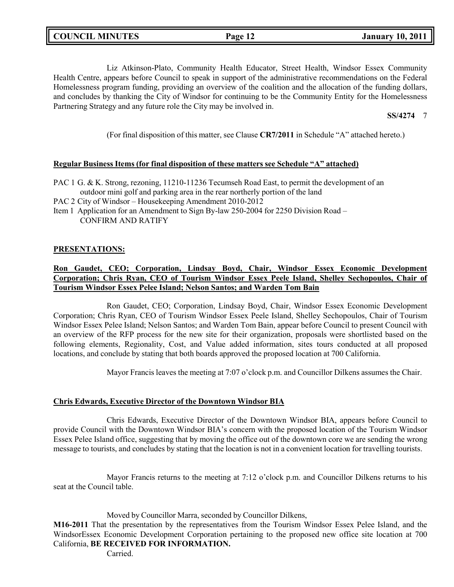Liz Atkinson-Plato, Community Health Educator, Street Health, Windsor Essex Community Health Centre, appears before Council to speak in support of the administrative recommendations on the Federal Homelessness program funding, providing an overview of the coalition and the allocation of the funding dollars, and concludes by thanking the City of Windsor for continuing to be the Community Entity for the Homelessness Partnering Strategy and any future role the City may be involved in.

**SS/4274** 7

(For final disposition of this matter, see Clause **CR7/2011** in Schedule "A" attached hereto.)

### **Regular Business Items (for final disposition of these matters see Schedule "A" attached)**

PAC 1 G. & K. Strong, rezoning, 11210-11236 Tecumseh Road East, to permit the development of an outdoor mini golf and parking area in the rear northerly portion of the land

PAC 2 City of Windsor – Housekeeping Amendment 2010-2012

Item 1 Application for an Amendment to Sign By-law 250-2004 for 2250 Division Road – CONFIRM AND RATIFY

### **PRESENTATIONS:**

### **Ron Gaudet, CEO; Corporation, Lindsay Boyd, Chair, Windsor Essex Economic Development Corporation; Chris Ryan, CEO of Tourism Windsor Essex Peele Island, Shelley Sechopoulos, Chair of Tourism Windsor Essex Pelee Island; Nelson Santos; and Warden Tom Bain**

Ron Gaudet, CEO; Corporation, Lindsay Boyd, Chair, Windsor Essex Economic Development Corporation; Chris Ryan, CEO of Tourism Windsor Essex Peele Island, Shelley Sechopoulos, Chair of Tourism Windsor Essex Pelee Island; Nelson Santos; and Warden Tom Bain, appear before Council to present Council with an overview of the RFP process for the new site for their organization, proposals were shortlisted based on the following elements, Regionality, Cost, and Value added information, sites tours conducted at all proposed locations, and conclude by stating that both boards approved the proposed location at 700 California.

Mayor Francis leaves the meeting at 7:07 o'clock p.m. and Councillor Dilkens assumes the Chair.

### **Chris Edwards, Executive Director of the Downtown Windsor BIA**

Chris Edwards, Executive Director of the Downtown Windsor BIA, appears before Council to provide Council with the Downtown Windsor BIA's concern with the proposed location of the Tourism Windsor Essex Pelee Island office, suggesting that by moving the office out of the downtown core we are sending the wrong message to tourists, and concludes by stating that the location is not in a convenient location for travelling tourists.

Mayor Francis returns to the meeting at 7:12 o'clock p.m. and Councillor Dilkens returns to his seat at the Council table.

### Moved by Councillor Marra, seconded by Councillor Dilkens,

**M16-2011** That the presentation by the representatives from the Tourism Windsor Essex Pelee Island, and the WindsorEssex Economic Development Corporation pertaining to the proposed new office site location at 700 California, **BE RECEIVED FOR INFORMATION.**

Carried.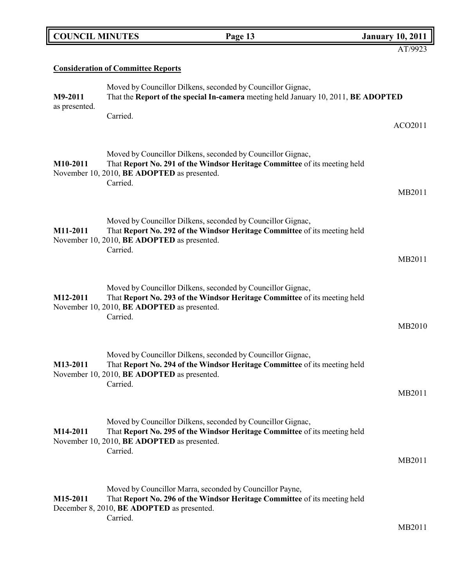| <b>COUNCIL MINUTES</b> | Page 13                                                                       | <b>January 10, 2011</b>                                                                                                                                                                                                                                                                                                                                                                                                                                                                                                                                                                                                                                                                                                                                                                                                                                                                                                                                                                                                                                                                                                                                                                                                                                                                                                |
|------------------------|-------------------------------------------------------------------------------|------------------------------------------------------------------------------------------------------------------------------------------------------------------------------------------------------------------------------------------------------------------------------------------------------------------------------------------------------------------------------------------------------------------------------------------------------------------------------------------------------------------------------------------------------------------------------------------------------------------------------------------------------------------------------------------------------------------------------------------------------------------------------------------------------------------------------------------------------------------------------------------------------------------------------------------------------------------------------------------------------------------------------------------------------------------------------------------------------------------------------------------------------------------------------------------------------------------------------------------------------------------------------------------------------------------------|
|                        |                                                                               | AT/9923                                                                                                                                                                                                                                                                                                                                                                                                                                                                                                                                                                                                                                                                                                                                                                                                                                                                                                                                                                                                                                                                                                                                                                                                                                                                                                                |
|                        |                                                                               |                                                                                                                                                                                                                                                                                                                                                                                                                                                                                                                                                                                                                                                                                                                                                                                                                                                                                                                                                                                                                                                                                                                                                                                                                                                                                                                        |
|                        |                                                                               |                                                                                                                                                                                                                                                                                                                                                                                                                                                                                                                                                                                                                                                                                                                                                                                                                                                                                                                                                                                                                                                                                                                                                                                                                                                                                                                        |
| Carried.               |                                                                               | ACO2011                                                                                                                                                                                                                                                                                                                                                                                                                                                                                                                                                                                                                                                                                                                                                                                                                                                                                                                                                                                                                                                                                                                                                                                                                                                                                                                |
|                        |                                                                               |                                                                                                                                                                                                                                                                                                                                                                                                                                                                                                                                                                                                                                                                                                                                                                                                                                                                                                                                                                                                                                                                                                                                                                                                                                                                                                                        |
|                        |                                                                               | MB2011                                                                                                                                                                                                                                                                                                                                                                                                                                                                                                                                                                                                                                                                                                                                                                                                                                                                                                                                                                                                                                                                                                                                                                                                                                                                                                                 |
|                        |                                                                               |                                                                                                                                                                                                                                                                                                                                                                                                                                                                                                                                                                                                                                                                                                                                                                                                                                                                                                                                                                                                                                                                                                                                                                                                                                                                                                                        |
|                        |                                                                               | MB2011                                                                                                                                                                                                                                                                                                                                                                                                                                                                                                                                                                                                                                                                                                                                                                                                                                                                                                                                                                                                                                                                                                                                                                                                                                                                                                                 |
| Carried.               |                                                                               | MB2010                                                                                                                                                                                                                                                                                                                                                                                                                                                                                                                                                                                                                                                                                                                                                                                                                                                                                                                                                                                                                                                                                                                                                                                                                                                                                                                 |
| Carried.               |                                                                               | MB2011                                                                                                                                                                                                                                                                                                                                                                                                                                                                                                                                                                                                                                                                                                                                                                                                                                                                                                                                                                                                                                                                                                                                                                                                                                                                                                                 |
|                        |                                                                               |                                                                                                                                                                                                                                                                                                                                                                                                                                                                                                                                                                                                                                                                                                                                                                                                                                                                                                                                                                                                                                                                                                                                                                                                                                                                                                                        |
|                        |                                                                               |                                                                                                                                                                                                                                                                                                                                                                                                                                                                                                                                                                                                                                                                                                                                                                                                                                                                                                                                                                                                                                                                                                                                                                                                                                                                                                                        |
|                        |                                                                               | MB2011                                                                                                                                                                                                                                                                                                                                                                                                                                                                                                                                                                                                                                                                                                                                                                                                                                                                                                                                                                                                                                                                                                                                                                                                                                                                                                                 |
| Carried.               |                                                                               | MB2011                                                                                                                                                                                                                                                                                                                                                                                                                                                                                                                                                                                                                                                                                                                                                                                                                                                                                                                                                                                                                                                                                                                                                                                                                                                                                                                 |
|                        | <b>Consideration of Committee Reports</b><br>Carried.<br>Carried.<br>Carried. | Moved by Councillor Dilkens, seconded by Councillor Gignac,<br>That the Report of the special In-camera meeting held January 10, 2011, BE ADOPTED<br>Moved by Councillor Dilkens, seconded by Councillor Gignac,<br>That Report No. 291 of the Windsor Heritage Committee of its meeting held<br>November 10, 2010, BE ADOPTED as presented.<br>Moved by Councillor Dilkens, seconded by Councillor Gignac,<br>That Report No. 292 of the Windsor Heritage Committee of its meeting held<br>November 10, 2010, BE ADOPTED as presented.<br>Moved by Councillor Dilkens, seconded by Councillor Gignac,<br>That Report No. 293 of the Windsor Heritage Committee of its meeting held<br>November 10, 2010, BE ADOPTED as presented.<br>Moved by Councillor Dilkens, seconded by Councillor Gignac,<br>That Report No. 294 of the Windsor Heritage Committee of its meeting held<br>November 10, 2010, BE ADOPTED as presented.<br>Moved by Councillor Dilkens, seconded by Councillor Gignac,<br>That Report No. 295 of the Windsor Heritage Committee of its meeting held<br>November 10, 2010, BE ADOPTED as presented.<br>Moved by Councillor Marra, seconded by Councillor Payne,<br>That Report No. 296 of the Windsor Heritage Committee of its meeting held<br>December 8, 2010, <b>BE ADOPTED</b> as presented. |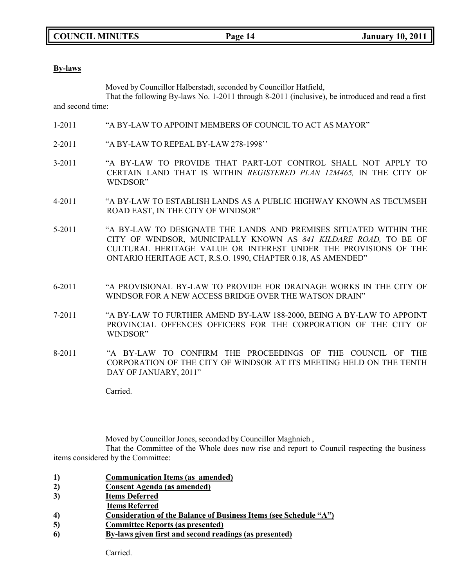**COUNCIL MINUTES Page 14 January 10, 2011**

#### **By-laws**

Moved by Councillor Halberstadt, seconded by Councillor Hatfield,

That the following By-laws No. 1-2011 through 8-2011 (inclusive), be introduced and read a first and second time:

- 1-2011 "A BY-LAW TO APPOINT MEMBERS OF COUNCIL TO ACT AS MAYOR"
- 2-2011 "A BY-LAW TO REPEAL BY-LAW 278-1998''
- 3-2011 "A BY-LAW TO PROVIDE THAT PART-LOT CONTROL SHALL NOT APPLY TO CERTAIN LAND THAT IS WITHIN *REGISTERED PLAN 12M465,* IN THE CITY OF WINDSOR"
- 4-2011 "A BY-LAW TO ESTABLISH LANDS AS A PUBLIC HIGHWAY KNOWN AS TECUMSEH ROAD EAST, IN THE CITY OF WINDSOR"
- 5-2011 "A BY-LAW TO DESIGNATE THE LANDS AND PREMISES SITUATED WITHIN THE CITY OF WINDSOR, MUNICIPALLY KNOWN AS *841 KILDARE ROAD,* TO BE OF CULTURAL HERITAGE VALUE OR INTEREST UNDER THE PROVISIONS OF THE ONTARIO HERITAGE ACT, R.S.O. 1990, CHAPTER 0.18, AS AMENDED"
- 6-2011 "A PROVISIONAL BY-LAW TO PROVIDE FOR DRAINAGE WORKS IN THE CITY OF WINDSOR FOR A NEW ACCESS BRIDGE OVER THE WATSON DRAIN"
- 7-2011 "A BY-LAW TO FURTHER AMEND BY-LAW 188-2000, BEING A BY-LAW TO APPOINT PROVINCIAL OFFENCES OFFICERS FOR THE CORPORATION OF THE CITY OF WINDSOR"
- 8-2011 "A BY-LAW TO CONFIRM THE PROCEEDINGS OF THE COUNCIL OF THE CORPORATION OF THE CITY OF WINDSOR AT ITS MEETING HELD ON THE TENTH DAY OF JANUARY, 2011"

Carried.

Moved by Councillor Jones, seconded by Councillor Maghnieh ,

That the Committee of the Whole does now rise and report to Council respecting the business items considered by the Committee:

| $\bf{1}$ | <b>Communication Items (as amended)</b> |  |  |
|----------|-----------------------------------------|--|--|
|          |                                         |  |  |

- **2) Consent Agenda (as amended)**
- **3) Items Deferred**
- **Items Referred**
- **4) Consideration of the Balance of Business Items (see Schedule "A")**
- **5) Committee Reports (as presented)**
- **6) By-laws given first and second readings (as presented)**

Carried.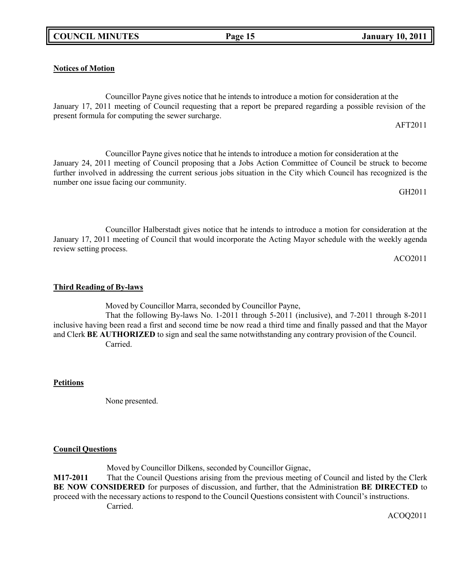### **Notices of Motion**

Councillor Payne gives notice that he intends to introduce a motion for consideration at the January 17, 2011 meeting of Council requesting that a report be prepared regarding a possible revision of the present formula for computing the sewer surcharge.

Councillor Payne gives notice that he intends to introduce a motion for consideration at the January 24, 2011 meeting of Council proposing that a Jobs Action Committee of Council be struck to become further involved in addressing the current serious jobs situation in the City which Council has recognized is the number one issue facing our community.

Councillor Halberstadt gives notice that he intends to introduce a motion for consideration at the January 17, 2011 meeting of Council that would incorporate the Acting Mayor schedule with the weekly agenda review setting process.

ACO2011

AFT2011

GH2011

### **Third Reading of By-laws**

Moved by Councillor Marra, seconded by Councillor Payne,

That the following By-laws No. 1-2011 through 5-2011 (inclusive), and 7-2011 through 8-2011 inclusive having been read a first and second time be now read a third time and finally passed and that the Mayor and Clerk **BE AUTHORIZED** to sign and seal the same notwithstanding any contrary provision of the Council. Carried.

### **Petitions**

None presented.

### **Council Questions**

Moved by Councillor Dilkens, seconded by Councillor Gignac,

**M17-2011** That the Council Questions arising from the previous meeting of Council and listed by the Clerk **BE NOW CONSIDERED** for purposes of discussion, and further, that the Administration **BE DIRECTED** to proceed with the necessary actions to respond to the Council Questions consistent with Council's instructions. Carried.

ACOQ2011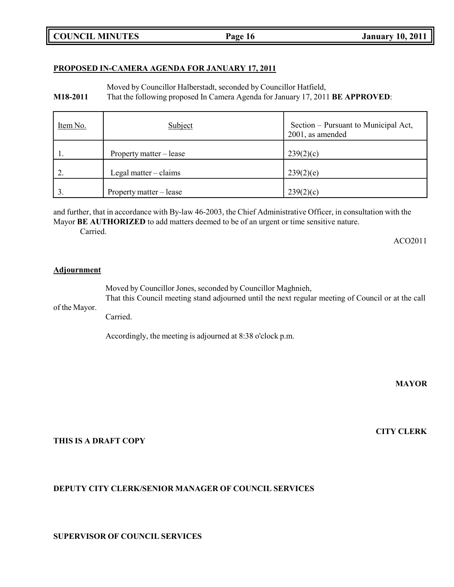## **PROPOSED IN-CAMERA AGENDA FOR JANUARY 17, 2011**

Moved by Councillor Halberstadt, seconded by Councillor Hatfield,

**M18-2011** That the following proposed In Camera Agenda for January 17, 2011 **BE APPROVED**:

| Item No. | Subject                       | Section – Pursuant to Municipal Act,<br>2001, as amended |
|----------|-------------------------------|----------------------------------------------------------|
| 1.       | Property matter – lease       | 239(2)(c)                                                |
|          | Legal matter $-\text{claims}$ | 239(2)(e)                                                |
|          | Property matter – lease       | 239(2)(c)                                                |

and further, that in accordance with By-law 46-2003, the Chief Administrative Officer, in consultation with the Mayor **BE AUTHORIZED** to add matters deemed to be of an urgent or time sensitive nature.

Carried.

ACO2011

#### **Adjournment**

of the Mayor. Moved by Councillor Jones, seconded by Councillor Maghnieh, That this Council meeting stand adjourned until the next regular meeting of Council or at the call

Carried.

Accordingly, the meeting is adjourned at 8:38 o'clock p.m.

**MAYOR**

**CITY CLERK**

#### **THIS IS A DRAFT COPY**

## **DEPUTY CITY CLERK/SENIOR MANAGER OF COUNCIL SERVICES**

### **SUPERVISOR OF COUNCIL SERVICES**

## **COUNCIL MINUTES Page 16 January 10, 2011**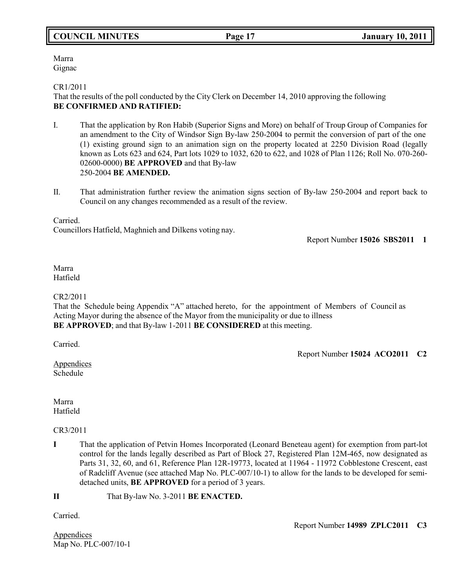## **COUNCIL MINUTES Page 17 January 10, 2011**

Marra Gignac

#### CR1/2011

That the results of the poll conducted by the City Clerk on December 14, 2010 approving the following **BE CONFIRMED AND RATIFIED:**

- I. That the application by Ron Habib (Superior Signs and More) on behalf of Troup Group of Companies for an amendment to the City of Windsor Sign By-law 250-2004 to permit the conversion of part of the one (1) existing ground sign to an animation sign on the property located at 2250 Division Road (legally known as Lots 623 and 624, Part lots 1029 to 1032, 620 to 622, and 1028 of Plan 1126; Roll No. 070-260- 02600-0000) **BE APPROVED** and that By-law 250-2004 **BE AMENDED.**
- II. That administration further review the animation signs section of By-law 250-2004 and report back to Council on any changes recommended as a result of the review.

Carried.

Councillors Hatfield, Maghnieh and Dilkens voting nay.

Report Number **15026 SBS2011 1**

#### Marra Hatfield

#### CR2/2011

That the Schedule being Appendix "A" attached hereto, for the appointment of Members of Council as Acting Mayor during the absence of the Mayor from the municipality or due to illness **BE APPROVED**; and that By-law 1-2011 **BE CONSIDERED** at this meeting.

Carried.

Report Number **15024 ACO2011 C2**

Appendices Schedule

Marra Hatfield

### CR3/2011

**I** That the application of Petvin Homes Incorporated (Leonard Beneteau agent) for exemption from part-lot control for the lands legally described as Part of Block 27, Registered Plan 12M-465, now designated as Parts 31, 32, 60, and 61, Reference Plan 12R-19773, located at 11964 - 11972 Cobblestone Crescent, east of Radcliff Avenue (see attached Map No. PLC-007/10-1) to allow for the lands to be developed for semidetached units, **BE APPROVED** for a period of 3 years.

**II** That By-law No. 3-2011 **BE ENACTED.**

Carried.

Appendices Map No. PLC-007/10-1 Report Number **14989 ZPLC2011 C3**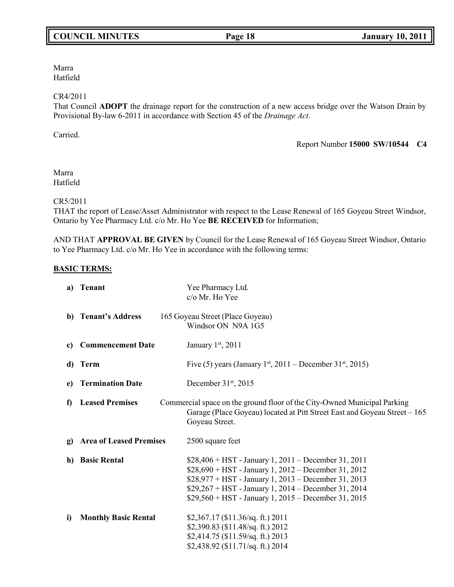## **COUNCIL MINUTES Page 18 January 10, 2011**

Marra Hatfield

#### CR4/2011

That Council **ADOPT** the drainage report for the construction of a new access bridge over the Watson Drain by Provisional By-law 6-2011 in accordance with Section 45 of the *Drainage Act*.

Carried.

Report Number **15000 SW/10544 C4**

Marra Hatfield

#### CR5/2011

THAT the report of Lease/Asset Administrator with respect to the Lease Renewal of 165 Goyeau Street Windsor, Ontario by Yee Pharmacy Ltd. c/o Mr. Ho Yee **BE RECEIVED** for Information;

AND THAT **APPROVAL BE GIVEN** by Council for the Lease Renewal of 165 Goyeau Street Windsor, Ontario to Yee Pharmacy Ltd. c/o Mr. Ho Yee in accordance with the following terms:

### **BASIC TERMS:**

| a) | <b>Tenant</b>                  | Yee Pharmacy Ltd.<br>c/o Mr. Ho Yee                                                                                                                                                                                                                                                      |
|----|--------------------------------|------------------------------------------------------------------------------------------------------------------------------------------------------------------------------------------------------------------------------------------------------------------------------------------|
|    | b) Tenant's Address            | 165 Goyeau Street (Place Goyeau)<br>Windsor ON N9A 1G5                                                                                                                                                                                                                                   |
| c) | <b>Commencement Date</b>       | January 1st, 2011                                                                                                                                                                                                                                                                        |
| d) | Term                           | Five (5) years (January 1st, 2011 – December 31st, 2015)                                                                                                                                                                                                                                 |
| e) | <b>Termination Date</b>        | December $31st$ , 2015                                                                                                                                                                                                                                                                   |
| f) | <b>Leased Premises</b>         | Commercial space on the ground floor of the City-Owned Municipal Parking<br>Garage (Place Goyeau) located at Pitt Street East and Goyeau Street – 165<br>Goyeau Street.                                                                                                                  |
| g) | <b>Area of Leased Premises</b> | 2500 square feet                                                                                                                                                                                                                                                                         |
| h) | <b>Basic Rental</b>            | $$28,406 + HST - January 1, 2011 - December 31, 2011$<br>$$28,690 + HST - January 1, 2012 - December 31, 2012$<br>\$28,977 + HST - January 1, 2013 - December 31, 2013<br>$$29,267 + HST - January 1, 2014 - December 31, 2014$<br>$$29,560 + HST - January 1, 2015 - December 31, 2015$ |
| i) | <b>Monthly Basic Rental</b>    | $$2,367.17$ (\$11.36/sq. ft.) 2011<br>\$2,390.83 (\$11.48/sq. ft.) 2012<br>\$2,414.75 (\$11.59/sq. ft.) 2013<br>\$2,438.92 (\$11.71/sq. ft.) 2014                                                                                                                                        |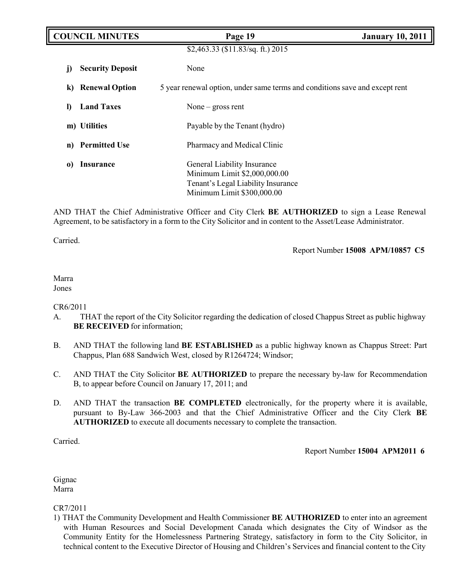| <b>COUNCIL MINUTES</b> |                         | Page 19                                                                                                                         | <b>January 10, 2011</b> |
|------------------------|-------------------------|---------------------------------------------------------------------------------------------------------------------------------|-------------------------|
|                        |                         | \$2,463.33 (\$11.83/sq. ft.) 2015                                                                                               |                         |
| J)                     | <b>Security Deposit</b> | None                                                                                                                            |                         |
| k)                     | <b>Renewal Option</b>   | 5 year renewal option, under same terms and conditions save and except rent                                                     |                         |
| $\bf{D}$               | <b>Land Taxes</b>       | None $-$ gross rent                                                                                                             |                         |
|                        | m) Utilities            | Payable by the Tenant (hydro)                                                                                                   |                         |
| n)                     | <b>Permitted Use</b>    | Pharmacy and Medical Clinic                                                                                                     |                         |
| $\bf{0}$               | <b>Insurance</b>        | General Liability Insurance<br>Minimum Limit \$2,000,000.00<br>Tenant's Legal Liability Insurance<br>Minimum Limit \$300,000.00 |                         |

AND THAT the Chief Administrative Officer and City Clerk **BE AUTHORIZED** to sign a Lease Renewal Agreement, to be satisfactory in a form to the City Solicitor and in content to the Asset/Lease Administrator.

Carried.

Report Number **15008 APM/10857 C5**

#### Marra Jones

### CR6/2011

- A. THAT the report of the City Solicitor regarding the dedication of closed Chappus Street as public highway **BE RECEIVED** for information;
- B. AND THAT the following land **BE ESTABLISHED** as a public highway known as Chappus Street: Part Chappus, Plan 688 Sandwich West, closed by R1264724; Windsor;
- C. AND THAT the City Solicitor **BE AUTHORIZED** to prepare the necessary by-law for Recommendation B, to appear before Council on January 17, 2011; and
- D. AND THAT the transaction **BE COMPLETED** electronically, for the property where it is available, pursuant to By-Law 366-2003 and that the Chief Administrative Officer and the City Clerk **BE AUTHORIZED** to execute all documents necessary to complete the transaction.

Carried.

Report Number **15004 APM2011 6**

Gignac Marra

CR7/2011

1) THAT the Community Development and Health Commissioner **BE AUTHORIZED** to enter into an agreement with Human Resources and Social Development Canada which designates the City of Windsor as the Community Entity for the Homelessness Partnering Strategy, satisfactory in form to the City Solicitor, in technical content to the Executive Director of Housing and Children's Services and financial content to the City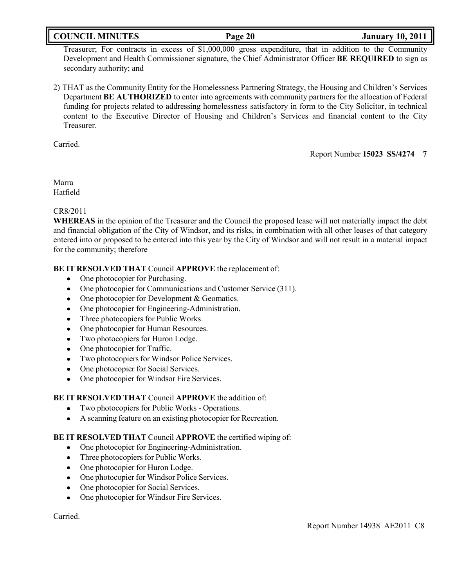## **COUNCIL MINUTES Page 20 January 10, 2011**

Treasurer; For contracts in excess of \$1,000,000 gross expenditure, that in addition to the Community Development and Health Commissioner signature, the Chief Administrator Officer **BE REQUIRED** to sign as secondary authority; and

2) THAT as the Community Entity for the Homelessness Partnering Strategy, the Housing and Children's Services Department **BE AUTHORIZED** to enter into agreements with community partners for the allocation of Federal funding for projects related to addressing homelessness satisfactory in form to the City Solicitor, in technical content to the Executive Director of Housing and Children's Services and financial content to the City Treasurer.

Carried.

Report Number **15023 SS/4274 7**

Marra Hatfield

### CR8/2011

**WHEREAS** in the opinion of the Treasurer and the Council the proposed lease will not materially impact the debt and financial obligation of the City of Windsor, and its risks, in combination with all other leases of that category entered into or proposed to be entered into this year by the City of Windsor and will not result in a material impact for the community; therefore

## **BE IT RESOLVED THAT** Council **APPROVE** the replacement of:

- One photocopier for Purchasing.
- One photocopier for Communications and Customer Service (311).
- One photocopier for Development & Geomatics.
- One photocopier for Engineering-Administration.
- Three photocopiers for Public Works.
- One photocopier for Human Resources.
- Two photocopiers for Huron Lodge.  $\bullet$
- One photocopier for Traffic.
- Two photocopiers for Windsor Police Services.
- One photocopier for Social Services.
- One photocopier for Windsor Fire Services.  $\bullet$

### **BE IT RESOLVED THAT** Council **APPROVE** the addition of:

- Two photocopiers for Public Works Operations.  $\bullet$
- A scanning feature on an existing photocopier for Recreation.

### **BE IT RESOLVED THAT** Council **APPROVE** the certified wiping of:

- One photocopier for Engineering-Administration.
- Three photocopiers for Public Works.
- One photocopier for Huron Lodge.
- One photocopier for Windsor Police Services.
- One photocopier for Social Services.  $\bullet$
- One photocopier for Windsor Fire Services.  $\bullet$

Carried.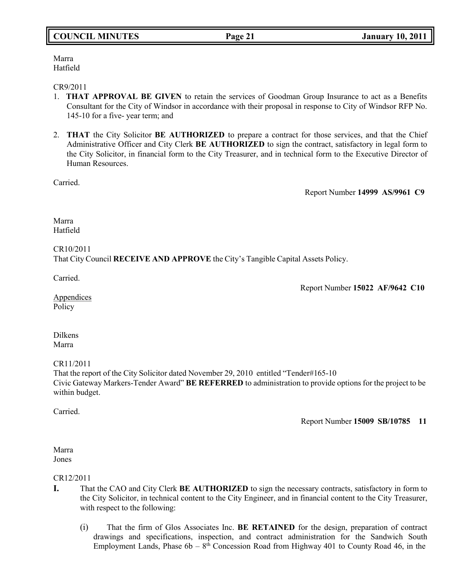## **COUNCIL MINUTES Page 21 January 10, 2011**

#### Marra Hatfield

#### CR9/2011

- 1. **THAT APPROVAL BE GIVEN** to retain the services of Goodman Group Insurance to act as a Benefits Consultant for the City of Windsor in accordance with their proposal in response to City of Windsor RFP No. 145-10 for a five- year term; and
- 2. **THAT** the City Solicitor **BE AUTHORIZED** to prepare a contract for those services, and that the Chief Administrative Officer and City Clerk **BE AUTHORIZED** to sign the contract, satisfactory in legal form to the City Solicitor, in financial form to the City Treasurer, and in technical form to the Executive Director of Human Resources.

Carried.

Report Number **14999 AS/9961 C9**

Marra Hatfield

## CR10/2011 That City Council **RECEIVE AND APPROVE** the City's Tangible Capital Assets Policy.

Carried.

Report Number **15022 AF/9642 C10**

**Appendices** Policy

Dilkens Marra

CR11/2011

That the report of the City Solicitor dated November 29, 2010 entitled "Tender#165-10 Civic Gateway Markers-Tender Award" **BE REFERRED** to administration to provide options for the project to be within budget.

Carried.

Report Number **15009 SB/10785 11**

Marra Jones

### CR12/2011

- **I.** That the CAO and City Clerk **BE AUTHORIZED** to sign the necessary contracts, satisfactory in form to the City Solicitor, in technical content to the City Engineer, and in financial content to the City Treasurer, with respect to the following:
	- (i) That the firm of Glos Associates Inc. **BE RETAINED** for the design, preparation of contract drawings and specifications, inspection, and contract administration for the Sandwich South Employment Lands, Phase  $6b - 8<sup>th</sup>$  Concession Road from Highway 401 to County Road 46, in the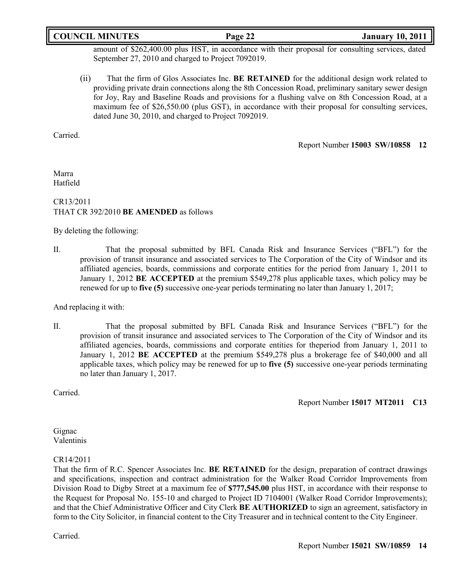## **COUNCIL MINUTES Page 22 January 10, 2011**

amount of \$262,400.00 plus HST, in accordance with their proposal for consulting services, dated September 27, 2010 and charged to Project 7092019.

(ii) That the firm of Glos Associates Inc. **BE RETAINED** for the additional design work related to providing private drain connections along the 8th Concession Road, preliminary sanitary sewer design for Joy, Ray and Baseline Roads and provisions for a flushing valve on 8th Concession Road, at a maximum fee of \$26,550.00 (plus GST), in accordance with their proposal for consulting services, dated June 30, 2010, and charged to Project 7092019.

Carried.

Report Number **15003 SW/10858 12**

Marra Hatfield

## CR13/2011 THAT CR 392/2010 **BE AMENDED** as follows

By deleting the following:

II. That the proposal submitted by BFL Canada Risk and Insurance Services ("BFL") for the provision of transit insurance and associated services to The Corporation of the City of Windsor and its affiliated agencies, boards, commissions and corporate entities for the period from January 1, 2011 to January 1, 2012 **BE ACCEPTED** at the premium \$549,278 plus applicable taxes, which policy may be renewed for up to **five (5)** successive one-year periods terminating no later than January 1, 2017;

And replacing it with:

II. That the proposal submitted by BFL Canada Risk and Insurance Services ("BFL") for the provision of transit insurance and associated services to The Corporation of the City of Windsor and its affiliated agencies, boards, commissions and corporate entities for theperiod from January 1, 2011 to January 1, 2012 **BE ACCEPTED** at the premium \$549,278 plus a brokerage fee of \$40,000 and all applicable taxes, which policy may be renewed for up to **five (5)** successive one-year periods terminating no later than January 1, 2017.

Carried.

Report Number **15017 MT2011 C13**

Gignac Valentinis

#### CR14/2011

That the firm of R.C. Spencer Associates Inc. **BE RETAINED** for the design, preparation of contract drawings and specifications, inspection and contract administration for the Walker Road Corridor Improvements from Division Road to Digby Street at a maximum fee of **\$777,545.00** plus HST, in accordance with their response to the Request for Proposal No. 155-10 and charged to Project ID 7104001 (Walker Road Corridor Improvements); and that the Chief Administrative Officer and City Clerk **BE AUTHORIZED** to sign an agreement, satisfactory in form to the City Solicitor, in financial content to the City Treasurer and in technical content to the City Engineer.

Carried.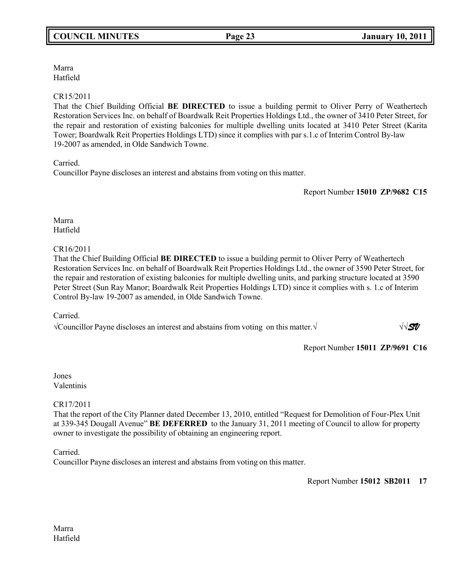Marra Hatfield

## CR15/2011

That the Chief Building Official **BE DIRECTED** to issue a building permit to Oliver Perry of Weathertech Restoration Services Inc. on behalf of Boardwalk Reit Properties Holdings Ltd., the owner of 3410 Peter Street, for the repair and restoration of existing balconies for multiple dwelling units located at 3410 Peter Street (Karita Tower; Boardwalk Reit Properties Holdings LTD) since it complies with par s.1.c of Interim Control By-law 19-2007 as amended, in Olde Sandwich Towne.

Carried.

Councillor Payne discloses an interest and abstains from voting on this matter.

Report Number **15010 ZP/9682 C15**

Marra Hatfield

## CR16/2011

That the Chief Building Official **BE DIRECTED** to issue a building permit to Oliver Perry of Weathertech Restoration Services Inc. on behalf of Boardwalk Reit Properties Holdings Ltd., the owner of 3590 Peter Street, for the repair and restoration of existing balconies for multiple dwelling units, and parking structure located at 3590 Peter Street (Sun Ray Manor; Boardwalk Reit Properties Holdings LTD) since it complies with s. 1.c of Interim Control By-law 19-2007 as amended, in Olde Sandwich Towne.

Carried.

√Councillor Payne discloses an interest and abstains from voting on this matter.√ √√*SV* 

Report Number **15011 ZP/9691 C16**

Jones Valentinis

CR17/2011

That the report of the City Planner dated December 13, 2010, entitled "Request for Demolition of Four-Plex Unit at 339-345 Dougall Avenue" **BE DEFERRED** to the January 31, 2011 meeting of Council to allow for property owner to investigate the possibility of obtaining an engineering report.

Carried.

Councillor Payne discloses an interest and abstains from voting on this matter.

Report Number **15012 SB2011 17**

Marra Hatfield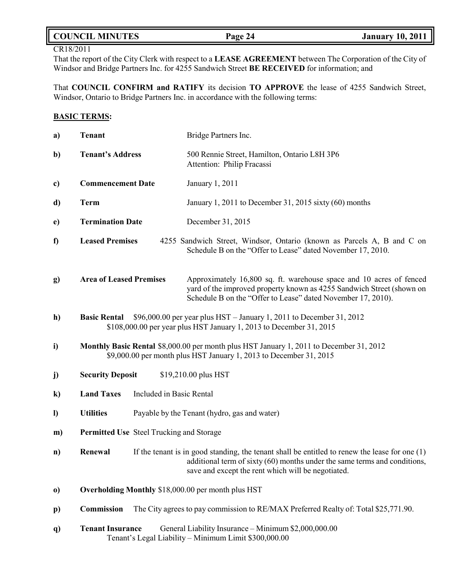## **COUNCIL MINUTES Page 24 January 10, 2011**

## CR18/2011

That the report of the City Clerk with respect to a **LEASE AGREEMENT** between The Corporation of the City of Windsor and Bridge Partners Inc. for 4255 Sandwich Street **BE RECEIVED** for information; and

That **COUNCIL CONFIRM and RATIFY** its decision **TO APPROVE** the lease of 4255 Sandwich Street, Windsor, Ontario to Bridge Partners Inc. in accordance with the following terms:

## **BASIC TERMS:**

| a)           | <b>Tenant</b>                                                                                                                                                      | Bridge Partners Inc.                                                                                                                                                                                                                |  |
|--------------|--------------------------------------------------------------------------------------------------------------------------------------------------------------------|-------------------------------------------------------------------------------------------------------------------------------------------------------------------------------------------------------------------------------------|--|
| b)           | <b>Tenant's Address</b>                                                                                                                                            | 500 Rennie Street, Hamilton, Ontario L8H 3P6<br>Attention: Philip Fracassi                                                                                                                                                          |  |
| c)           | <b>Commencement Date</b>                                                                                                                                           | January 1, 2011                                                                                                                                                                                                                     |  |
| d)           | <b>Term</b>                                                                                                                                                        | January 1, 2011 to December 31, 2015 sixty $(60)$ months                                                                                                                                                                            |  |
| $\mathbf{e}$ | <b>Termination Date</b>                                                                                                                                            | December 31, 2015                                                                                                                                                                                                                   |  |
| $\mathbf f$  | <b>Leased Premises</b>                                                                                                                                             | 4255 Sandwich Street, Windsor, Ontario (known as Parcels A, B and C on<br>Schedule B on the "Offer to Lease" dated November 17, 2010.                                                                                               |  |
| g)           | <b>Area of Leased Premises</b>                                                                                                                                     | Approximately 16,800 sq. ft. warehouse space and 10 acres of fenced<br>yard of the improved property known as 4255 Sandwich Street (shown on<br>Schedule B on the "Offer to Lease" dated November 17, 2010).                        |  |
| h)           | \$96,000.00 per year plus HST - January 1, 2011 to December 31, 2012<br><b>Basic Rental</b><br>\$108,000.00 per year plus HST January 1, 2013 to December 31, 2015 |                                                                                                                                                                                                                                     |  |
| i)           | Monthly Basic Rental \$8,000.00 per month plus HST January 1, 2011 to December 31, 2012<br>\$9,000.00 per month plus HST January 1, 2013 to December 31, 2015      |                                                                                                                                                                                                                                     |  |
| j)           | <b>Security Deposit</b>                                                                                                                                            | \$19,210.00 plus HST                                                                                                                                                                                                                |  |
| $\bf k)$     | <b>Land Taxes</b>                                                                                                                                                  | Included in Basic Rental                                                                                                                                                                                                            |  |
| $\mathbf{I}$ | <b>Utilities</b><br>Payable by the Tenant (hydro, gas and water)                                                                                                   |                                                                                                                                                                                                                                     |  |
| m)           | <b>Permitted Use</b> Steel Trucking and Storage                                                                                                                    |                                                                                                                                                                                                                                     |  |
| n)           | Renewal                                                                                                                                                            | If the tenant is in good standing, the tenant shall be entitled to renew the lease for one $(1)$<br>additional term of sixty (60) months under the same terms and conditions,<br>save and except the rent which will be negotiated. |  |
| $\bf{0}$     |                                                                                                                                                                    | Overholding Monthly \$18,000.00 per month plus HST                                                                                                                                                                                  |  |
| $\mathbf{p}$ | <b>Commission</b>                                                                                                                                                  | The City agrees to pay commission to RE/MAX Preferred Realty of: Total \$25,771.90.                                                                                                                                                 |  |
| <b>q</b> )   | <b>Tenant Insurance</b>                                                                                                                                            | General Liability Insurance - Minimum \$2,000,000.00<br>Tenant's Legal Liability - Minimum Limit \$300,000.00                                                                                                                       |  |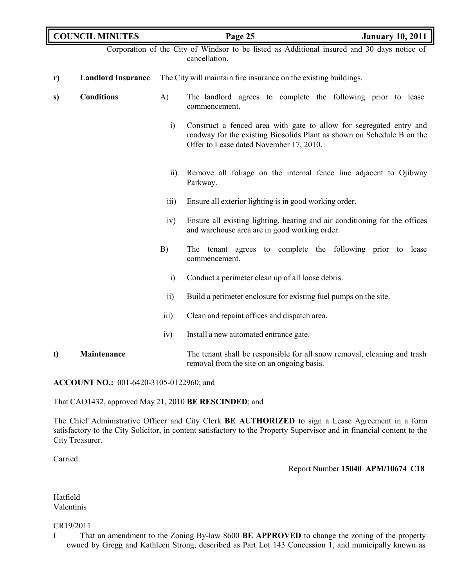|               | <b>COUNCIL MINUTES</b>    |                                                                  | Page 25                                                                                                                                                                                  | <b>January 10, 2011</b> |
|---------------|---------------------------|------------------------------------------------------------------|------------------------------------------------------------------------------------------------------------------------------------------------------------------------------------------|-------------------------|
|               |                           |                                                                  | Corporation of the City of Windsor to be listed as Additional insured and 30 days notice of<br>cancellation.                                                                             |                         |
| $\mathbf{r})$ | <b>Landlord Insurance</b> | The City will maintain fire insurance on the existing buildings. |                                                                                                                                                                                          |                         |
| s)            | <b>Conditions</b>         | A)                                                               | The landlord agrees to complete the following prior to lease<br>commencement.                                                                                                            |                         |
|               |                           | $\ddot{1}$                                                       | Construct a fenced area with gate to allow for segregated entry and<br>roadway for the existing Biosolids Plant as shown on Schedule B on the<br>Offer to Lease dated November 17, 2010. |                         |
|               |                           | $\overline{11}$                                                  | Remove all foliage on the internal fence line adjacent to Ojibway<br>Parkway.                                                                                                            |                         |
|               |                           | $\overline{111}$ )                                               | Ensure all exterior lighting is in good working order.                                                                                                                                   |                         |
|               |                           | iv)                                                              | Ensure all existing lighting, heating and air conditioning for the offices<br>and warehouse area are in good working order.                                                              |                         |
|               |                           | B)                                                               | The tenant agrees to complete the following prior to lease<br>commencement.                                                                                                              |                         |
|               |                           | $\ddot{i}$                                                       | Conduct a perimeter clean up of all loose debris.                                                                                                                                        |                         |
|               |                           | $\overline{11}$                                                  | Build a perimeter enclosure for existing fuel pumps on the site.                                                                                                                         |                         |
|               |                           | $\overline{\text{iii}}$                                          | Clean and repaint offices and dispatch area.                                                                                                                                             |                         |
|               |                           | iv)                                                              | Install a new automated entrance gate.                                                                                                                                                   |                         |
| t)            | Maintenance               |                                                                  | The tenant shall be responsible for all snow removal, cleaning and trash<br>removal from the site on an ongoing basis.                                                                   |                         |

**ACCOUNT NO.:** 001-6420-3105-0122960; and

That CAO1432, approved May 21, 2010 **BE RESCINDED**; and

The Chief Administrative Officer and City Clerk **BE AUTHORIZED** to sign a Lease Agreement in a form satisfactory to the City Solicitor, in content satisfactory to the Property Supervisor and in financial content to the City Treasurer.

Carried.

### Report Number **15040 APM/10674 C18**

Hatfield Valentinis

CR19/2011

I That an amendment to the Zoning By-law 8600 **BE APPROVED** to change the zoning of the property owned by Gregg and Kathleen Strong, described as Part Lot 143 Concession 1, and municipally known as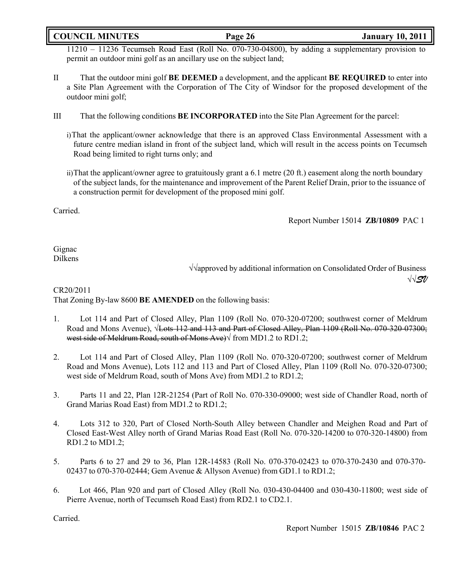## **COUNCIL MINUTES Page 26 January 10, 2011**

11210 – 11236 Tecumseh Road East (Roll No. 070-730-04800), by adding a supplementary provision to permit an outdoor mini golf as an ancillary use on the subject land;

- II That the outdoor mini golf **BE DEEMED** a development, and the applicant **BE REQUIRED** to enter into a Site Plan Agreement with the Corporation of The City of Windsor for the proposed development of the outdoor mini golf;
- III That the following conditions **BE INCORPORATED** into the Site Plan Agreement for the parcel:
	- i)That the applicant/owner acknowledge that there is an approved Class Environmental Assessment with a future centre median island in front of the subject land, which will result in the access points on Tecumseh Road being limited to right turns only; and
	- ii)That the applicant/owner agree to gratuitously grant a 6.1 metre (20 ft.) easement along the north boundary of the subject lands, for the maintenance and improvement of the Parent Relief Drain, prior to the issuance of a construction permit for development of the proposed mini golf.

Carried.

Report Number 15014 **ZB/10809** PAC 1

Gignac Dilkens

√√approved by additional information on Consolidated Order of Business √√*SV*

CR20/2011

That Zoning By-law 8600 **BE AMENDED** on the following basis:

- 1. Lot 114 and Part of Closed Alley, Plan 1109 (Roll No. 070-320-07200; southwest corner of Meldrum Road and Mons Avenue), √<del>Lots 112 and 113 and Part of Closed Alley, Plan 1109 (Roll No. 070-320-07300;</del> west side of Meldrum Road, south of Mons Ave) from MD1.2 to RD1.2;
- 2. Lot 114 and Part of Closed Alley, Plan 1109 (Roll No. 070-320-07200; southwest corner of Meldrum Road and Mons Avenue), Lots 112 and 113 and Part of Closed Alley, Plan 1109 (Roll No. 070-320-07300; west side of Meldrum Road, south of Mons Ave) from MD1.2 to RD1.2;
- 3. Parts 11 and 22, Plan 12R-21254 (Part of Roll No. 070-330-09000; west side of Chandler Road, north of Grand Marias Road East) from MD1.2 to RD1.2;
- 4. Lots 312 to 320, Part of Closed North-South Alley between Chandler and Meighen Road and Part of Closed East-West Alley north of Grand Marias Road East (Roll No. 070-320-14200 to 070-320-14800) from RD1.2 to MD1.2;
- 5. Parts 6 to 27 and 29 to 36, Plan 12R-14583 (Roll No. 070-370-02423 to 070-370-2430 and 070-370- 02437 to 070-370-02444; Gem Avenue & Allyson Avenue) from GD1.1 to RD1.2;
- 6. Lot 466, Plan 920 and part of Closed Alley (Roll No. 030-430-04400 and 030-430-11800; west side of Pierre Avenue, north of Tecumseh Road East) from RD2.1 to CD2.1.

Carried.

Report Number 15015 **ZB/10846** PAC 2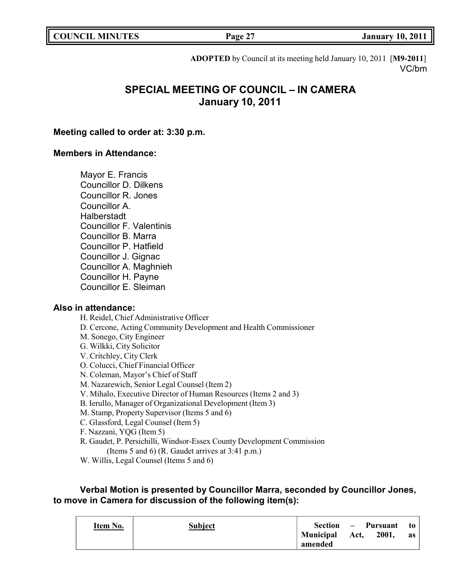| <b>COUNCIL MINUTES</b> |  |
|------------------------|--|
|------------------------|--|

**COUNCIL EXAMPLE 10, 2011 COUNCIL EXAMPLE 10, 2011** 

**ADOPTED** by Council at its meeting held January 10, 2011 [**M9-2011**] VC/bm

# **SPECIAL MEETING OF COUNCIL – IN CAMERA January 10, 2011**

## **Meeting called to order at: 3:30 p.m.**

## **Members in Attendance:**

Mayor E. Francis Councillor D. Dilkens Councillor R. Jones Councillor A. **Halberstadt** Councillor F. Valentinis Councillor B. Marra Councillor P. Hatfield Councillor J. Gignac Councillor A. Maghnieh Councillor H. Payne Councillor E. Sleiman

### **Also in attendance:**

H. Reidel, Chief Administrative Officer D. Cercone, Acting Community Development and Health Commissioner M. Sonego, City Engineer G. Wilkki, City Solicitor V. Critchley, City Clerk O. Colucci, Chief Financial Officer N. Coleman, Mayor's Chief of Staff M. Nazarewich, Senior Legal Counsel (Item 2) V. Mihalo, Executive Director of Human Resources (Items 2 and 3) B. Ierullo, Manager of Organizational Development (Item 3) M. Stamp, Property Supervisor (Items 5 and 6) C. Glassford, Legal Counsel (Item 5) F. Nazzani, YQG (Item 5) R. Gaudet, P. Persichilli, Windsor-Essex County Development Commission (Items 5 and 6) (R. Gaudet arrives at 3:41 p.m.) W. Willis, Legal Counsel (Items 5 and 6)

## **Verbal Motion is presented by Councillor Marra, seconded by Councillor Jones, to move in Camera for discussion of the following item(s):**

| Item No. | <b>Subject</b> | <b>Section</b>              | $\sim$ | Pursuant | to to |
|----------|----------------|-----------------------------|--------|----------|-------|
|          |                | <b>Municipal</b><br>amended | Act,   | 2001,    | as    |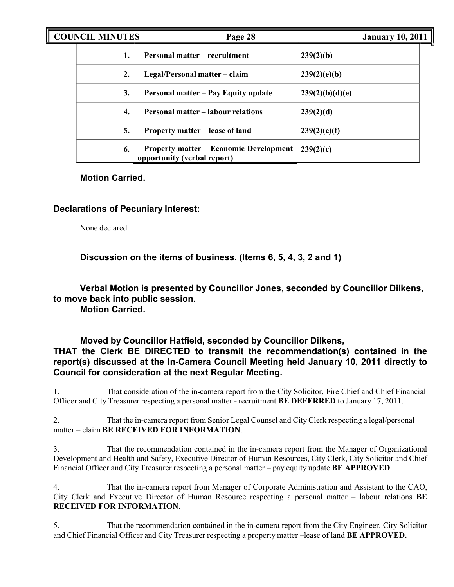| <b>COUNCIL MINUTES</b> |    | Page 28                                                                      |                 | <b>January 10, 2011</b> |  |
|------------------------|----|------------------------------------------------------------------------------|-----------------|-------------------------|--|
|                        |    | Personal matter – recruitment                                                | 239(2)(b)       |                         |  |
|                        | 2. | Legal/Personal matter – claim                                                | 239(2)(e)(b)    |                         |  |
|                        | 3. | <b>Personal matter – Pay Equity update</b>                                   | 239(2)(b)(d)(e) |                         |  |
|                        | 4. | <b>Personal matter – labour relations</b>                                    | 239(2)(d)       |                         |  |
|                        | 5. | Property matter – lease of land                                              | 239(2)(c)(f)    |                         |  |
|                        | 6. | <b>Property matter – Economic Development</b><br>opportunity (verbal report) | 239(2)(c)       |                         |  |

## **Motion Carried.**

## **Declarations of Pecuniary Interest:**

None declared.

**Discussion on the items of business. (Items 6, 5, 4, 3, 2 and 1)**

**Verbal Motion is presented by Councillor Jones, seconded by Councillor Dilkens, to move back into public session.**

**Motion Carried.**

## **Moved by Councillor Hatfield, seconded by Councillor Dilkens, THAT the Clerk BE DIRECTED to transmit the recommendation(s) contained in the report(s) discussed at the In-Camera Council Meeting held January 10, 2011 directly to Council for consideration at the next Regular Meeting.**

1. That consideration of the in-camera report from the City Solicitor, Fire Chief and Chief Financial Officer and City Treasurer respecting a personal matter - recruitment **BE DEFERRED** to January 17, 2011.

2. That the in-camera report from Senior Legal Counsel and City Clerk respecting a legal/personal matter – claim **BE RECEIVED FOR INFORMATION**.

3. That the recommendation contained in the in-camera report from the Manager of Organizational Development and Health and Safety, Executive Director of Human Resources, City Clerk, City Solicitor and Chief Financial Officer and City Treasurer respecting a personal matter – pay equity update **BE APPROVED**.

4. That the in-camera report from Manager of Corporate Administration and Assistant to the CAO, City Clerk and Executive Director of Human Resource respecting a personal matter – labour relations **BE RECEIVED FOR INFORMATION**.

5. That the recommendation contained in the in-camera report from the City Engineer, City Solicitor and Chief Financial Officer and City Treasurer respecting a property matter –lease of land **BE APPROVED.**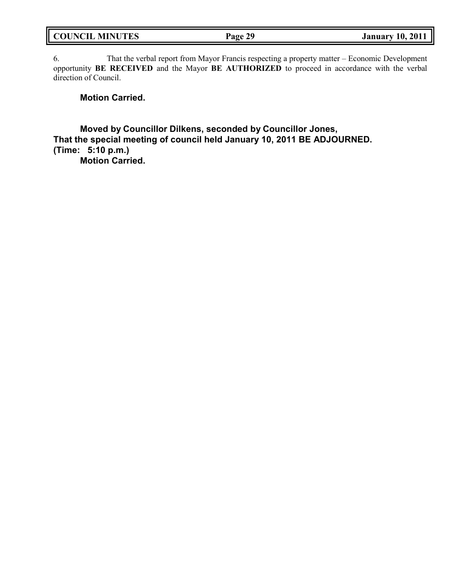| <b>COUNCIL MINUTES</b> | Page 29 | <b>January 10, 2011</b> |
|------------------------|---------|-------------------------|
|                        |         |                         |

6. That the verbal report from Mayor Francis respecting a property matter – Economic Development opportunity **BE RECEIVED** and the Mayor **BE AUTHORIZED** to proceed in accordance with the verbal direction of Council.

**Motion Carried.**

**Moved by Councillor Dilkens, seconded by Councillor Jones, That the special meeting of council held January 10, 2011 BE ADJOURNED. (Time: 5:10 p.m.) Motion Carried.**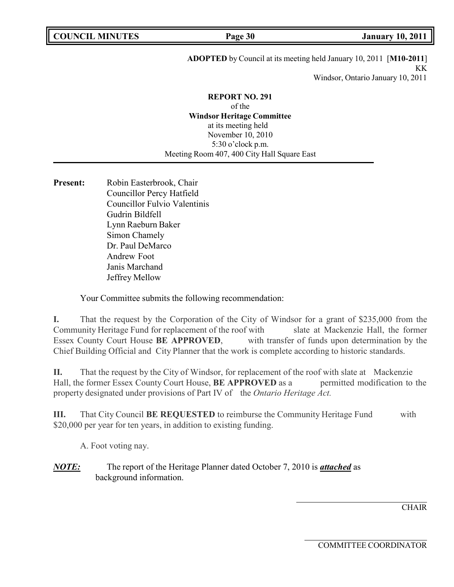# **ADOPTED** by Council at its meeting held January 10, 2011 [**M10-2011**] KK

Windsor, Ontario January 10, 2011

## **REPORT NO. 291**

of the **Windsor Heritage Committee** at its meeting held November 10, 2010 5:30 o'clock p.m. Meeting Room 407, 400 City Hall Square East

Present: Robin Easterbrook, Chair Councillor Percy Hatfield Councillor Fulvio Valentinis Gudrin Bildfell Lynn Raeburn Baker Simon Chamely Dr. Paul DeMarco Andrew Foot Janis Marchand Jeffrey Mellow

Your Committee submits the following recommendation:

**I.** That the request by the Corporation of the City of Windsor for a grant of \$235,000 from the Community Heritage Fund for replacement of the roof with slate at Mackenzie Hall, the former Essex County Court House **BE APPROVED**, with transfer of funds upon determination by the Chief Building Official and City Planner that the work is complete according to historic standards.

**II.** That the request by the City of Windsor, for replacement of the roof with slate at Mackenzie Hall, the former Essex County Court House, **BE APPROVED** as a permitted modification to the property designated under provisions of Part IV of the *Ontario Heritage Act.*

**III.** That City Council **BE REQUESTED** to reimburse the Community Heritage Fund with \$20,000 per year for ten years, in addition to existing funding.

A. Foot voting nay.

*NOTE:* The report of the Heritage Planner dated October 7, 2010 is *attached* as background information.

**CHAIR**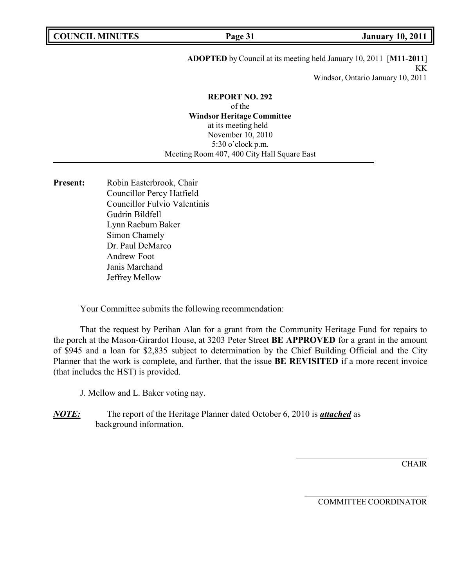## **ADOPTED** by Council at its meeting held January 10, 2011 [**M11-2011**] KK

Windsor, Ontario January 10, 2011

#### **REPORT NO. 292**

of the **Windsor Heritage Committee** at its meeting held November 10, 2010 5:30 o'clock p.m. Meeting Room 407, 400 City Hall Square East

Present: Robin Easterbrook, Chair Councillor Percy Hatfield Councillor Fulvio Valentinis Gudrin Bildfell Lynn Raeburn Baker Simon Chamely Dr. Paul DeMarco Andrew Foot Janis Marchand Jeffrey Mellow

Your Committee submits the following recommendation:

That the request by Perihan Alan for a grant from the Community Heritage Fund for repairs to the porch at the Mason-Girardot House, at 3203 Peter Street **BE APPROVED** for a grant in the amount of \$945 and a loan for \$2,835 subject to determination by the Chief Building Official and the City Planner that the work is complete, and further, that the issue **BE REVISITED** if a more recent invoice (that includes the HST) is provided.

J. Mellow and L. Baker voting nay.

*NOTE:* The report of the Heritage Planner dated October 6, 2010 is *attached* as background information.

**CHAIR**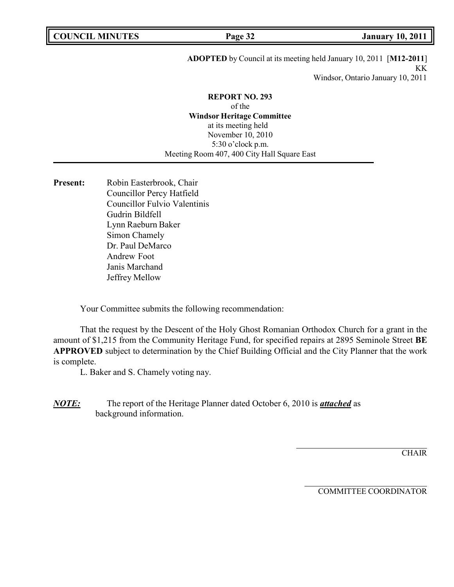## **ADOPTED** by Council at its meeting held January 10, 2011 [**M12-2011**] KK

Windsor, Ontario January 10, 2011

#### **REPORT NO. 293**

of the **Windsor Heritage Committee** at its meeting held November 10, 2010 5:30 o'clock p.m. Meeting Room 407, 400 City Hall Square East

Present: Robin Easterbrook, Chair Councillor Percy Hatfield Councillor Fulvio Valentinis Gudrin Bildfell Lynn Raeburn Baker Simon Chamely Dr. Paul DeMarco Andrew Foot Janis Marchand Jeffrey Mellow

Your Committee submits the following recommendation:

That the request by the Descent of the Holy Ghost Romanian Orthodox Church for a grant in the amount of \$1,215 from the Community Heritage Fund, for specified repairs at 2895 Seminole Street **BE APPROVED** subject to determination by the Chief Building Official and the City Planner that the work is complete.

L. Baker and S. Chamely voting nay.

*NOTE:* The report of the Heritage Planner dated October 6, 2010 is *attached* as background information.

**CHAIR**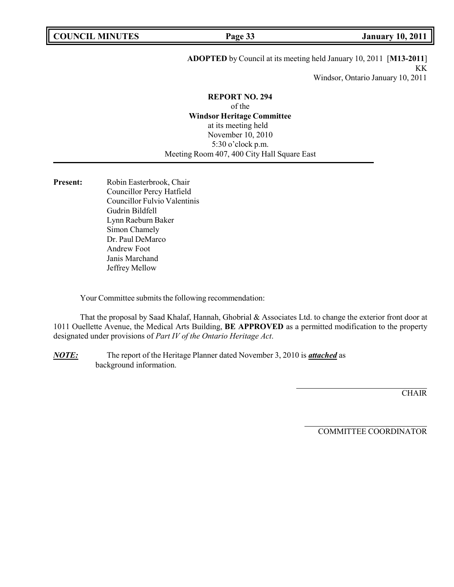**COUNCIL EXECUTE: COUNCIL EXECUTE: Page 33 January** 10, 2011

### **ADOPTED** by Council at its meeting held January 10, 2011 [**M13-2011**] KK

Windsor, Ontario January 10, 2011

#### **REPORT NO. 294**

of the **Windsor Heritage Committee** at its meeting held November 10, 2010 5:30 o'clock p.m. Meeting Room 407, 400 City Hall Square East

Present: Robin Easterbrook, Chair Councillor Percy Hatfield Councillor Fulvio Valentinis Gudrin Bildfell Lynn Raeburn Baker Simon Chamely Dr. Paul DeMarco Andrew Foot Janis Marchand Jeffrey Mellow

Your Committee submits the following recommendation:

That the proposal by Saad Khalaf, Hannah, Ghobrial & Associates Ltd. to change the exterior front door at 1011 Ouellette Avenue, the Medical Arts Building, **BE APPROVED** as a permitted modification to the property designated under provisions of *Part IV of the Ontario Heritage Act*.

*NOTE:* The report of the Heritage Planner dated November 3, 2010 is *attached* as background information.

**CHAIR**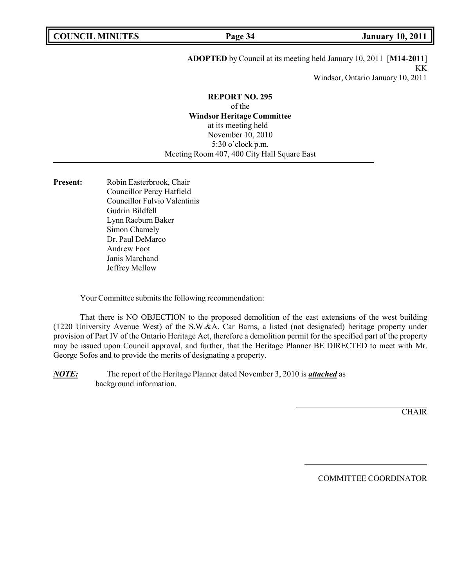### **ADOPTED** by Council at its meeting held January 10, 2011 [**M14-2011**] KK

Windsor, Ontario January 10, 2011

#### **REPORT NO. 295**

of the **Windsor Heritage Committee** at its meeting held November 10, 2010 5:30 o'clock p.m. Meeting Room 407, 400 City Hall Square East

Present: Robin Easterbrook, Chair Councillor Percy Hatfield Councillor Fulvio Valentinis Gudrin Bildfell Lynn Raeburn Baker Simon Chamely Dr. Paul DeMarco Andrew Foot Janis Marchand Jeffrey Mellow

Your Committee submits the following recommendation:

That there is NO OBJECTION to the proposed demolition of the east extensions of the west building (1220 University Avenue West) of the S.W.&A. Car Barns, a listed (not designated) heritage property under provision of Part IV of the Ontario Heritage Act, therefore a demolition permit for the specified part of the property may be issued upon Council approval, and further, that the Heritage Planner BE DIRECTED to meet with Mr. George Sofos and to provide the merits of designating a property.

*NOTE:* The report of the Heritage Planner dated November 3, 2010 is *attached* as background information.

**CHAIR**